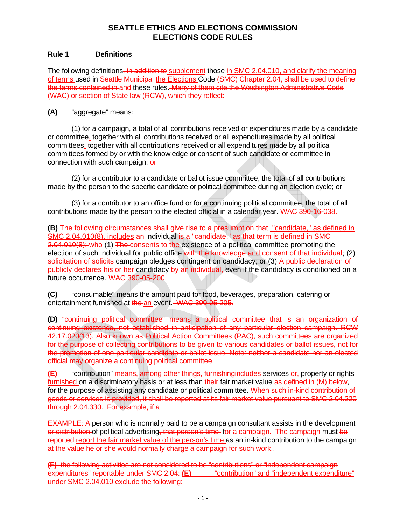### **Rule 1 Definitions**

The following definitions, in addition to supplement those in SMC 2.04.010, and clarify the meaning of terms used in Seattle Municipal the Elections Code (SMC) Chapter 2.04, shall be used to define the terms contained in and these rules. Many of them cite the Washington Administrative Code (WAC) or section of State law (RCW), which they reflect:

**(A)** <u>e</u> "aggregate" means:

(1) for a campaign, a total of all contributions received or expenditures made by a candidate or committee, together with all contributions received or all expenditures made by all political committees, together with all contributions received or all expenditures made by all political committees formed by or with the knowledge or consent of such candidate or committee in connection with such campaign; or

(2) for a contributor to a candidate or ballot issue committee, the total of all contributions made by the person to the specific candidate or political committee during an election cycle; or

(3) for a contributor to an office fund or for a continuing political committee, the total of all contributions made by the person to the elected official in a calendar year. WAC 390-16-038.

**(B)** The following circumstances shall give rise to a presumption that "candidate," as defined in SMC 2.04.010(8), includes an individual is a "candidate," as that term is defined in SMC 2.04.010(8): who (1) The consents to the existence of a political committee promoting the election of such individual for public office with the knowledge and consent of that individual; (2) solicitation of solicits campaign pledges contingent on candidacy; or (3) A public declaration of publicly declares his or her candidacy by an individual, even if the candidacy is conditioned on a future occurrence. WAC 390-05-200.

**(C)** "consumable" means the amount paid for food, beverages, preparation, catering or entertainment furnished at the an event. WAC 390-05-205.

**(D)** "continuing political committee" means a political committee that is an organization of continuing existence, not established in anticipation of any particular election campaign. RCW 42.17.020(13). Also known as Political Action Committees (PAC), such committees are organized for the purpose of collecting contributions to be given to various candidates or ballot issues, not for the promotion of one particular candidate or ballot issue. Note: neither a candidate nor an elected official may organize a continuing political committee.

**(E)** "contribution" means, among other things, furnishingincludes services or, property or rights furnished on a discriminatory basis or at less than their fair market value as defined in (M) below, for the purpose of assisting any candidate or political committee. When such in-kind contribution of goods or services is provided, it shall be reported at its fair market value pursuant to SMC 2.04.220 through 2.04.330. For example, if a

EXAMPLE: A person who is normally paid to be a campaign consultant assists in the development or distribution of political advertising, that person's time for a campaign. The campaign must be reported-report the fair market value of the person's time as an in-kind contribution to the campaign at the value he or she would normally charge a campaign for such work..

**(F)** the following activities are not considered to be "contributions" or "independent campaign expenditures" reportable under SMC 2.04: **(E)** "contribution" and "independent expenditure" under SMC 2.04.010 exclude the following: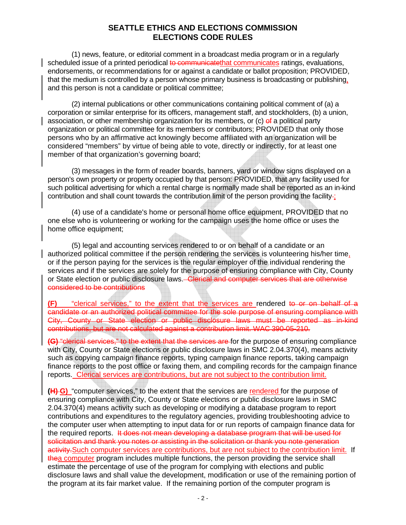(1) news, feature, or editorial comment in a broadcast media program or in a regularly scheduled issue of a printed periodical to communicatethat communicates ratings, evaluations, endorsements, or recommendations for or against a candidate or ballot proposition; PROVIDED, that the medium is controlled by a person whose primary business is broadcasting or publishing, and this person is not a candidate or political committee;

(2) internal publications or other communications containing political comment of (a) a corporation or similar enterprise for its officers, management staff, and stockholders, (b) a union, association, or other membership organization for its members, or  $(c)$  of a political party organization or political committee for its members or contributors; PROVIDED that only those persons who by an affirmative act knowingly become affiliated with an organization will be considered "members" by virtue of being able to vote, directly or indirectly, for at least one member of that organization's governing board;

(3) messages in the form of reader boards, banners, yard or window signs displayed on a person's own property or property occupied by that person: PROVIDED, that any facility used for such political advertising for which a rental charge is normally made shall be reported as an in-kind contribution and shall count towards the contribution limit of the person providing the facility-;

(4) use of a candidate's home or personal home office equipment, PROVIDED that no one else who is volunteering or working for the campaign uses the home office or uses the home office equipment;

(5) legal and accounting services rendered to or on behalf of a candidate or an authorized political committee if the person rendering the services is volunteering his/her time, or if the person paying for the services is the regular employer of the individual rendering the services and if the services are solely for the purpose of ensuring compliance with City, County or State election or public disclosure laws. Clerical and computer services that are otherwise considered to be contributions

**(F)** "clerical services," to the extent that the services are rendered to or on behalf of a candidate or an authorized political committee for the sole purpose of ensuring compliance with City, County or State election or public disclosure laws must be reported as in-kind contributions, but are not calculated against a contribution limit. WAC 390-05-210.

**(G)** "clerical services," to the extent that the services are for the purpose of ensuring compliance with City, County or State elections or public disclosure laws in SMC 2.04.370(4), means activity such as copying campaign finance reports, typing campaign finance reports, taking campaign finance reports to the post office or faxing them, and compiling records for the campaign finance reports. Clerical services are contributions, but are not subject to the contribution limit.

**(H) G)** "computer services," to the extent that the services are rendered for the purpose of ensuring compliance with City, County or State elections or public disclosure laws in SMC 2.04.370(4) means activity such as developing or modifying a database program to report contributions and expenditures to the regulatory agencies, providing troubleshooting advice to the computer user when attempting to input data for or run reports of campaign finance data for the required reports. It does not mean developing a database program that will be used for solicitation and thank you notes or assisting in the solicitation or thank you note generation activity. Such computer services are contributions, but are not subject to the contribution limit. If thea computer program includes multiple functions, the person providing the service shall estimate the percentage of use of the program for complying with elections and public disclosure laws and shall value the development, modification or use of the remaining portion of the program at its fair market value. If the remaining portion of the computer program is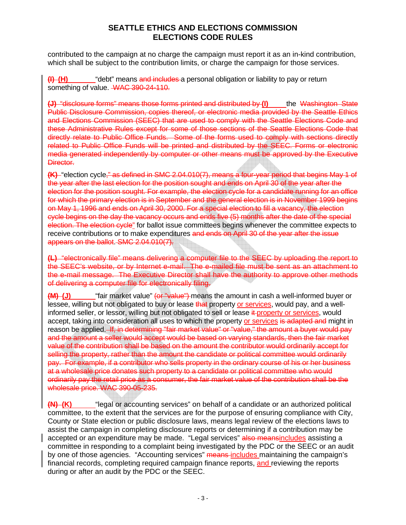contributed to the campaign at no charge the campaign must report it as an in-kind contribution, which shall be subject to the contribution limits, or charge the campaign for those services.

**(I) (H)** "debt" means and includes a personal obligation or liability to pay or return something of value. WAC 390-24-110.

**(J)** "disclosure forms" means those forms printed and distributed by **(I)** the Washington State Public Disclosure Commission, copies thereof, or electronic media provided by the Seattle Ethics and Elections Commission (SEEC) that are used to comply with the Seattle Elections Code and these Administrative Rules except for some of those sections of the Seattle Elections Code that directly relate to Public Office Funds. Some of the forms used to comply with sections directly related to Public Office Funds will be printed and distributed by the SEEC. Forms or electronic media generated independently by computer or other means must be approved by the Executive Director.

**(K)** "election cycle," as defined in SMC 2.04.010(7), means a four-year period that begins May 1 of the year after the last election for the position sought and ends on April 30 of the year after the election for the position sought. For example, the election cycle for a candidate running for an office for which the primary election is in September and the general election is in November 1999 begins on May 1, 1996 and ends on April 30, 2000. For a special election to fill a vacancy, the election cycle begins on the day the vacancy occurs and ends five (5) months after the date of the special election. The election cycle" for ballot issue committees begins whenever the committee expects to receive contributions or to make expenditures and ends on April 30 of the year after the issue appears on the ballot. SMC 2.04.010(7).

**(L)** "electronically file" means delivering a computer file to the SEEC by uploading the report to the SEEC's website, or by Internet e-mail. The e-mailed file must be sent as an attachment to the e-mail message. The Executive Director shall have the authority to approve other methods of delivering a computer file for electronically filing.

**(M) (J)** "fair market value" (or "value") means the amount in cash a well-informed buyer or lessee, willing but not obligated to buy or lease that property or services, would pay, and a wellinformed seller, or lessor, willing but not obligated to sell or lease it-property or services, would accept, taking into consideration all uses to which the property or services is adapted and might in reason be applied. If, in determining "fair market value" or "value," the amount a buyer would pay and the amount a seller would accept would be based on varying standards, then the fair market value of the contribution shall be based on the amount the contributor would ordinarily accept for selling the property, rather than the amount the candidate or political committee would ordinarily pay. For example, if a contributor who sells property in the ordinary course of his or her business at a wholesale price donates such property to a candidate or political committee who would ordinarily pay the retail price as a consumer, the fair market value of the contribution shall be the wholesale price. WAC 390-05-235.

**(N) (K)** "legal or accounting services" on behalf of a candidate or an authorized political committee, to the extent that the services are for the purpose of ensuring compliance with City, County or State election or public disclosure laws, means legal review of the elections laws to assist the campaign in completing disclosure reports or determining if a contribution may be accepted or an expenditure may be made. "Legal services" also meansincludes assisting a committee in responding to a complaint being investigated by the PDC or the SEEC or an audit by one of those agencies. "Accounting services" means-includes maintaining the campaign's financial records, completing required campaign finance reports, and reviewing the reports during or after an audit by the PDC or the SEEC.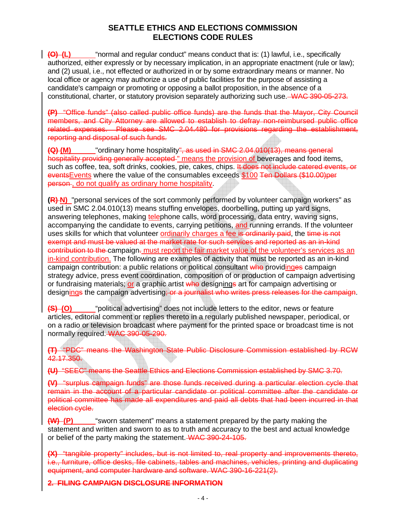**(O) (L)** "normal and regular conduct" means conduct that is: (1) lawful, i.e., specifically authorized, either expressly or by necessary implication, in an appropriate enactment (rule or law); and (2) usual, i.e., not effected or authorized in or by some extraordinary means or manner. No local office or agency may authorize a use of public facilities for the purpose of assisting a candidate's campaign or promoting or opposing a ballot proposition, in the absence of a constitutional, charter, or statutory provision separately authorizing such use. WAC 390-05-273.

**(P)** "Office funds" (also called public office funds) are the funds that the Mayor, City Council members, and City Attorney are allowed to establish to defray non-reimbursed public office related expenses. Please see SMC 2.04.480 for provisions regarding the establishment, reporting and disposal of such funds.

**(Q) (M)** "ordinary home hospitality", as used in SMC 2.04.010(13), means general hospitality providing generally accepted " means the provision of beverages and food items, such as coffee, tea, soft drinks, cookies, pie, cakes, chips. It does not include catered events, or eventsEvents where the value of the consumables exceeds \$100 Ten Dollars (\$10.00)per person, do not qualify as ordinary home hospitality.

**(R)-N)** "personal services of the sort commonly performed by volunteer campaign workers" as used in SMC 2.04.010(13) means stuffing envelopes, doorbelling, putting up yard signs, answering telephones, making telephone calls, word processing, data entry, waving signs, accompanying the candidate to events, carrying petitions, and running errands. If the volunteer uses skills for which that volunteer ordinarily charges a fee is ordinarily paid, the time is not exempt and must be valued at the market rate for such services and reported as an in-kind contribution to the campaign. must report the fair market value of the volunteer's services as an in-kind contribution. The following are examples of activity that must be reported as an in-kind campaign contribution: a public relations or political consultant who providinges campaign strategy advice, press event coordination, composition of or production of campaign advertising or fundraising materials; or a graphic artist who designings art for campaign advertising or designings the campaign advertising; or a journalist who writes press releases for the campaign.

**(S) (O)** "political advertising" does not include letters to the editor, news or feature articles, editorial comment or replies thereto in a regularly published newspaper, periodical, or on a radio or television broadcast where payment for the printed space or broadcast time is not normally required. WAC 390-05-290.

**(T)** "PDC" means the Washington State Public Disclosure Commission established by RCW 42.17.350.

**(U)** "SEEC" means the Seattle Ethics and Elections Commission established by SMC 3.70.

**(V)** "surplus campaign funds" are those funds received during a particular election cycle that remain in the account of a particular candidate or political committee after the candidate or political committee has made all expenditures and paid all debts that had been incurred in that election cycle.

**(W) (P)** "sworn statement" means a statement prepared by the party making the statement and written and sworn to as to truth and accuracy to the best and actual knowledge or belief of the party making the statement. WAC 390-24-105.

**(X)** "tangible property" includes, but is not limited to, real property and improvements thereto, i.e., furniture, office desks, file cabinets, tables and machines, vehicles, printing and duplicating equipment, and computer hardware and software. WAC 390-16-221(2).

**2. FILING CAMPAIGN DISCLOSURE INFORMATION**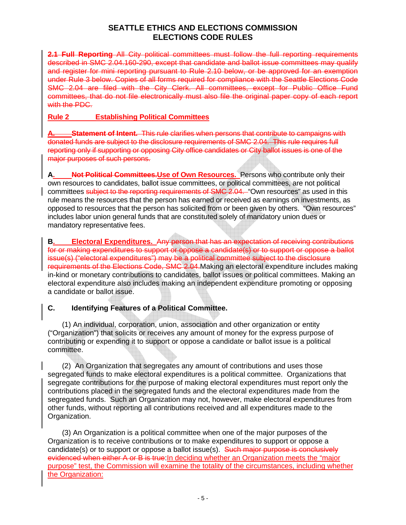**2.1 Full Reporting** All City political committees must follow the full reporting requirements described in SMC 2.04.160-290, except that candidate and ballot issue committees may qualify and register for mini reporting pursuant to Rule 2.10 below, or be approved for an exemption under Rule 3 below. Copies of all forms required for compliance with the Seattle Elections Code SMC 2.04 are filed with the City Clerk. All committees, except for Public Office Fund committees, that do not file electronically must also file the original paper copy of each report with the PDC.

### **Rule 2 Establishing Political Committees**

**Atatement of Intent.** This rule clarifies when persons that contribute to campaigns with donated funds are subject to the disclosure requirements of SMC 2.04. This rule requires full reporting only if supporting or opposing City office candidates or City ballot issues is one of the major purposes of such persons.

**A. Not Political Committees.Use of Own Resources.** Persons who contribute only their own resources to candidates, ballot issue committees, or political committees, are not political committees subject to the reporting requirements of SMC 2.04. "Own resources" as used in this rule means the resources that the person has earned or received as earnings on investments, as opposed to resources that the person has solicited from or been given by others. "Own resources" includes labor union general funds that are constituted solely of mandatory union dues or mandatory representative fees.

**B. Electoral Expenditures.** Any person that has an expectation of receiving contributions for or making expenditures to support or oppose a candidate(s) or to support or oppose a ballot issue(s) ("electoral expenditures") may be a political committee subject to the disclosure requirements of the Elections Code, SMC 2.04.Making an electoral expenditure includes making in-kind or monetary contributions to candidates, ballot issues or political committees. Making an electoral expenditure also includes making an independent expenditure promoting or opposing a candidate or ballot issue.

#### **C. Identifying Features of a Political Committee.**

(1) An individual, corporation, union, association and other organization or entity ("Organization") that solicits or receives any amount of money for the express purpose of contributing or expending it to support or oppose a candidate or ballot issue is a political committee.

(2) An Organization that segregates any amount of contributions and uses those segregated funds to make electoral expenditures is a political committee. Organizations that segregate contributions for the purpose of making electoral expenditures must report only the contributions placed in the segregated funds and the electoral expenditures made from the segregated funds. Such an Organization may not, however, make electoral expenditures from other funds, without reporting all contributions received and all expenditures made to the Organization.

(3) An Organization is a political committee when one of the major purposes of the Organization is to receive contributions or to make expenditures to support or oppose a candidate(s) or to support or oppose a ballot issue(s). Such major purpose is conclusively evidenced when either A or B is true: In deciding whether an Organization meets the "major purpose" test, the Commission will examine the totality of the circumstances, including whether the Organization: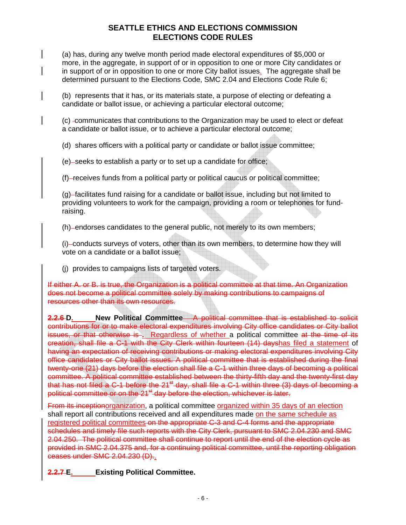(a) has, during any twelve month period made electoral expenditures of \$5,000 or more, in the aggregate, in support of or in opposition to one or more City candidates or in support of or in opposition to one or more City ballot issues. The aggregate shall be determined pursuant to the Elections Code, SMC 2.04 and Elections Code Rule 6;

(b) represents that it has, or its materials state, a purpose of electing or defeating a candidate or ballot issue, or achieving a particular electoral outcome;

(c) -communicates that contributions to the Organization may be used to elect or defeat a candidate or ballot issue, or to achieve a particular electoral outcome;

(d) shares officers with a political party or candidate or ballot issue committee;

(e) -seeks to establish a party or to set up a candidate for office;

(f) receives funds from a political party or political caucus or political committee;

 $(q)$ -facilitates fund raising for a candidate or ballot issue, including but not limited to providing volunteers to work for the campaign, providing a room or telephones for fundraising.

(h)-endorses candidates to the general public, not merely to its own members;

(i) conducts surveys of voters, other than its own members, to determine how they will vote on a candidate or a ballot issue;

(j) provides to campaigns lists of targeted voters.

If either A. or B. is true, the Organization is a political committee at that time. An Organization does not become a political committee solely by making contributions to campaigns of resources other than its own resources.

**2.2.6 D.** New Political Committee A political committee that is established to solicit contributions for or to make electoral expenditures involving City office candidates or City ballot issues, or that otherwise is **.** Regardless of whether a political committee at the time of its creation, shall file a C-1 with the City Clerk within fourteen (14) dayshas filed a statement of having an expectation of receiving contributions or making electoral expenditures involving City office candidates or City ballot issues. A political committee that is established during the final twenty-one (21) days before the election shall file a C-1 within three days of becoming a political committee. A political committee established between the thirty-fifth day and the twenty-first day that has not filed a C-1 before the  $21<sup>st</sup>$  day, shall file a C-1 within three (3) days of becoming a political committee or on the 21<sup>st</sup> day before the election, whichever is later.

From its inceptionorganization, a political committee organized within 35 days of an election shall report all contributions received and all expenditures made on the same schedule as registered political committees on the appropriate C-3 and C-4 forms and the appropriate schedules and timely file such reports with the City Clerk, pursuant to SMC 2.04.230 and SMC 2.04.250. The political committee shall continue to report until the end of the election cycle as provided in SMC 2.04.375 and, for a continuing political committee, until the reporting obligation ceases under SMC 2.04.230 (D)..

**2.2.7 E. Existing Political Committee.**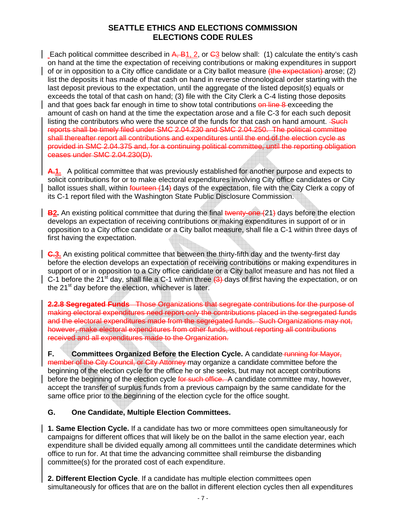Each political committee described in  $\overline{A}$ ,  $\overline{B}$ 1, 2, or  $\overline{C}$  below shall: (1) calculate the entity's cash on hand at the time the expectation of receiving contributions or making expenditures in support of or in opposition to a City office candidate or a City ballot measure (the expectation) arose; (2) list the deposits it has made of that cash on hand in reverse chronological order starting with the last deposit previous to the expectation, until the aggregate of the listed deposit(s) equals or exceeds the total of that cash on hand; (3) file with the City Clerk a C-4 listing those deposits and that goes back far enough in time to show total contributions on line 8 exceeding the amount of cash on hand at the time the expectation arose and a file C-3 for each such deposit listing the contributors who were the source of the funds for that cash on hand amount. Such reports shall be timely filed under SMC 2.04.230 and SMC 2.04.250. The political committee shall thereafter report all contributions and expenditures until the end of the election cycle as provided in SMC 2.04.375 and, for a continuing political committee, until the reporting obligation ceases under SMC 2.04.230(D).

A.1. A political committee that was previously established for another purpose and expects to solicit contributions for or to make electoral expenditures involving City office candidates or City ballot issues shall, within fourteen (14) days of the expectation, file with the City Clerk a copy of its C-1 report filed with the Washington State Public Disclosure Commission.

**B2.** An existing political committee that during the final twenty-one (21) days before the election develops an expectation of receiving contributions or making expenditures in support of or in opposition to a City office candidate or a City ballot measure, shall file a C-1 within three days of first having the expectation.

**C.3.** An existing political committee that between the thirty-fifth day and the twenty-first day before the election develops an expectation of receiving contributions or making expenditures in support of or in opposition to a City office candidate or a City ballot measure and has not filed a C-1 before the 21<sup>st</sup> day, shall file a C-1 within three  $(3)$ -days of first having the expectation, or on the  $21<sup>st</sup>$  day before the election, whichever is later.

**2.2.8 Segregated Funds** Those Organizations that segregate contributions for the purpose of making electoral expenditures need report only the contributions placed in the segregated funds and the electoral expenditures made from the segregated funds. Such Organizations may not, however, make electoral expenditures from other funds, without reporting all contributions received and all expenditures made to the Organization.

**F.** Committees Organized Before the Election Cycle. A candidate running for Mayor, member of the City Council, or City Attorney may organize a candidate committee before the beginning of the election cycle for the office he or she seeks, but may not accept contributions before the beginning of the election cycle for such office. A candidate committee may, however, accept the transfer of surplus funds from a previous campaign by the same candidate for the same office prior to the beginning of the election cycle for the office sought.

### **G. One Candidate, Multiple Election Committees.**

**1. Same Election Cycle.** If a candidate has two or more committees open simultaneously for campaigns for different offices that will likely be on the ballot in the same election year, each expenditure shall be divided equally among all committees until the candidate determines which office to run for. At that time the advancing committee shall reimburse the disbanding committee(s) for the prorated cost of each expenditure.

**2. Different Election Cycle**. If a candidate has multiple election committees open simultaneously for offices that are on the ballot in different election cycles then all expenditures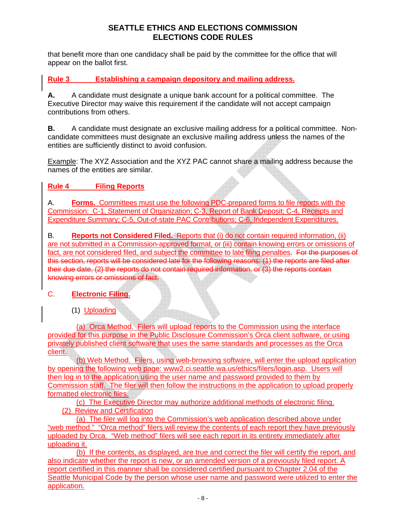that benefit more than one candidacy shall be paid by the committee for the office that will appear on the ballot first.

# **Rule 3 Establishing a campaign depository and mailing address.**

**A.** A candidate must designate a unique bank account for a political committee. The Executive Director may waive this requirement if the candidate will not accept campaign contributions from others.

**B.** A candidate must designate an exclusive mailing address for a political committee. Noncandidate committees must designate an exclusive mailing address unless the names of the entities are sufficiently distinct to avoid confusion.

Example: The XYZ Association and the XYZ PAC cannot share a mailing address because the names of the entities are similar.

### **Rule 4 Filing Reports**

A. **Forms.** Committees must use the following PDC-prepared forms to file reports with the Commission: C-1, Statement of Organization; C-3, Report of Bank Deposit; C-4, Receipts and Expenditure Summary; C-5, Out-of-state PAC Contributions; C-6, Independent Expenditures.

B. **Reports not Considered Filed.** Reports that (i) do not contain required information, (ii) are not submitted in a Commission-approved format, or (iii) contain knowing errors or omissions of fact, are not considered filed, and subject the committee to late filing penalties. For the purposes of this section, reports will be considered late for the following reasons: (1) the reports are filed after their due date, (2) the reports do not contain required information, or (3) the reports contain knowing errors or omissions of fact.

#### C. **Electronic Filing.**

(1) Uploading

(a) Orca Method. Filers will upload reports to the Commission using the interface provided for this purpose in the Public Disclosure Commission's Orca client software, or using privately published client software that uses the same standards and processes as the Orca client.

(b) Web Method. Filers, using web-browsing software, will enter the upload application by opening the following web page: www2.ci.seattle.wa.us/ethics/filers/login.asp. Users will then log in to the application using the user name and password provided to them by Commission staff. The filer will then follow the instructions in the application to upload properly formatted electronic files.

(c) The Executive Director may authorize additional methods of electronic filing. (2) Review and Certification

(a) The filer will log into the Commission's web application described above under "web method." "Orca method" filers will review the contents of each report they have previously uploaded by Orca. "Web method" filers will see each report in its entirety immediately after uploading it.

(b) If the contents, as displayed, are true and correct the filer will certify the report, and also indicate whether the report is new, or an amended version of a previously filed report. A report certified in this manner shall be considered certified pursuant to Chapter 2.04 of the Seattle Municipal Code by the person whose user name and password were utilized to enter the application.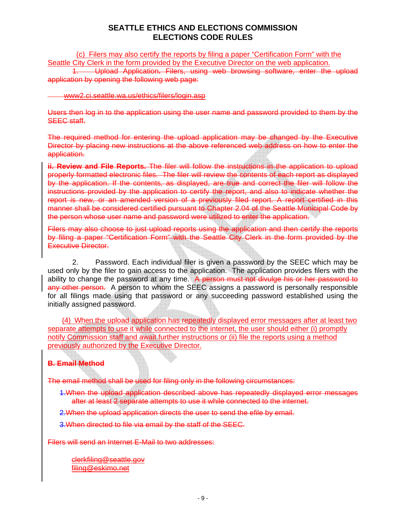(c) Filers may also certify the reports by filing a paper "Certification Form" with the Seattle City Clerk in the form provided by the Executive Director on the web application.

1. Upload Application**.** Filers, using web browsing software, enter the upload application by opening the following web page:

#### [www2.ci.seattle.wa.us/ethics/filers/login.asp](http://www.seattle.gov/ethics/filers/login.asp)

Users then log in to the application using the user name and password provided to them by the SEEC staff.

The required method for entering the upload application may be changed by the Executive Director by placing new instructions at the above referenced web address on how to enter the application.

**ii. Review and File Reports.** The filer will follow the instructions in the application to upload properly formatted electronic files. The filer will review the contents of each report as displayed by the application. If the contents, as displayed, are true and correct the filer will follow the instructions provided by the application to certify the report, and also to indicate whether the report is new, or an amended version of a previously filed report. A report certified in this manner shall be considered certified pursuant to Chapter 2.04 of the Seattle Municipal Code by the person whose user name and password were utilized to enter the application.

Filers may also choose to just upload reports using the application and then certify the reports by filing a paper "Certification Form" with the Seattle City Clerk in the form provided by the Executive Director.

2. Password. Each individual filer is given a password by the SEEC which may be used only by the filer to gain access to the application. The application provides filers with the ability to change the password at any time. A person must not divulge his or her password to any other person. A person to whom the SEEC assigns a password is personally responsible for all filings made using that password or any succeeding password established using the initially assigned password.

(4) When the upload application has repeatedly displayed error messages after at least two separate attempts to use it while connected to the internet, the user should either (i) promptly notify Commission staff and await further instructions or (ii) file the reports using a method previously authorized by the Executive Director.

### **B. Email Method**

The email method shall be used for filing only in the following circumstances:

1.When the upload application described above has repeatedly displayed error messages after at least 2 separate attempts to use it while connected to the internet.

2. When the upload application directs the user to send the efile by email.

3.When directed to file via email by the staff of the SEEC.

Filers will send an Internet E-Mail to two addresses:

[clerkfiling@seattle.gov](mailto:clerkfiling@seattle.gov) [filing@eskimo.net](mailto:filing@eskimo.net)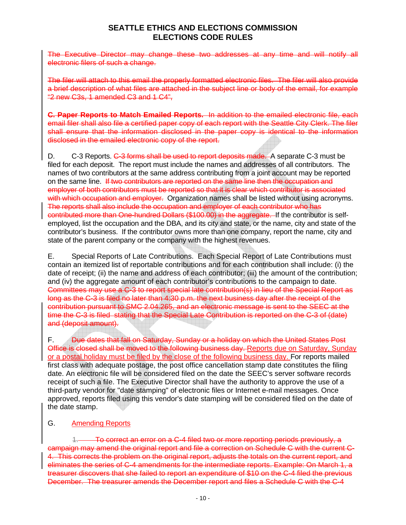The Executive Director may change these two addresses at any time and will notify all electronic filers of such a change.

The filer will attach to this email the properly formatted electronic files. The filer will also provide a brief description of what files are attached in the subject line or body of the email, for example "2 new C3s, 1 amended C3 and 1 C4",

**C. Paper Reports to Match Emailed Reports.** In addition to the emailed electronic file, each email filer shall also file a certified paper copy of each report with the Seattle City Clerk. The filer shall ensure that the information disclosed in the paper copy is identical to the information disclosed in the emailed electronic copy of the report.

D. C-3 Reports. C-3 forms shall be used to report deposits made. A separate C-3 must be filed for each deposit. The report must include the names and addresses of all contributors. The names of two contributors at the same address contributing from a joint account may be reported on the same line. If two contributors are reported on the same line then the occupation and employer of both contributors must be reported so that it is clear which contributor is associated with which occupation and employer. Organization names shall be listed without using acronyms. The reports shall also include the occupation and employer of each contributor who has contributed more than One-hundred Dollars (\$100.00) in the aggregate. If the contributor is selfemployed, list the occupation and the DBA, and its city and state, or the name, city and state of the contributor's business. If the contributor owns more than one company, report the name, city and state of the parent company or the company with the highest revenues.

E. Special Reports of Late Contributions. Each Special Report of Late Contributions must contain an itemized list of reportable contributions and for each contribution shall include: (i) the date of receipt; (ii) the name and address of each contributor; (iii) the amount of the contribution; and (iv) the aggregate amount of each contributor's contributions to the campaign to date. Committees may use a C-3 to report special late contribution(s) in lieu of the Special Report as long as the C-3 is filed no later than 4:30 p.m. the next business day after the receipt of the contribution pursuant to SMC 2.04.265, and an electronic message is sent to the SEEC at the time the C-3 is filed stating that the Special Late Contribution is reported on the C-3 of (date) and (deposit amount).

F. Due dates that fall on Saturday, Sunday or a holiday on which the United States Post Office is closed shall be moved to the following business day. Reports due on Saturday, Sunday or a postal holiday must be filed by the close of the following business day. For reports mailed first class with adequate postage, the post office cancellation stamp date constitutes the filing date. An electronic file will be considered filed on the date the SEEC's server software records receipt of such a file. The Executive Director shall have the authority to approve the use of a third-party vendor for "date stamping" of electronic files or Internet e-mail messages. Once approved, reports filed using this vendor's date stamping will be considered filed on the date of the date stamp.

#### G. Amending Reports

1. To correct an error on a C-4 filed two or more reporting periods previously, a campaign may amend the original report and file a correction on Schedule C with the current C-4. This corrects the problem on the original report, adjusts the totals on the current report, and eliminates the series of C-4 amendments for the intermediate reports. Example: On March 1, a treasurer discovers that she failed to report an expenditure of \$10 on the C-4 filed the previous December. The treasurer amends the December report and files a Schedule C with the C-4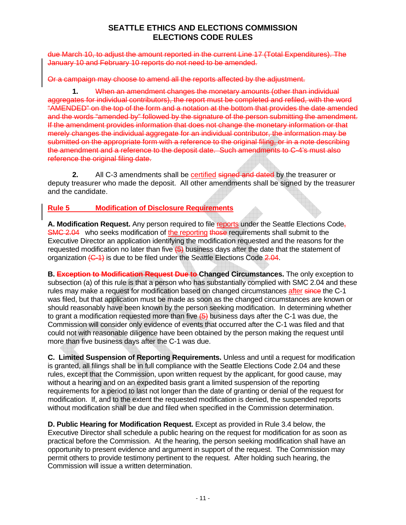due March 10, to adjust the amount reported in the current Line 17 (Total Expenditures). The January 10 and February 10 reports do not need to be amended.

Or a campaign may choose to amend all the reports affected by the adjustment.

**1.** When an amendment changes the monetary amounts (other than individual aggregates for individual contributors), the report must be completed and refiled, with the word "AMENDED" on the top of the form and a notation at the bottom that provides the date amended and the words "amended by" followed by the signature of the person submitting the amendment. If the amendment provides information that does not change the monetary information or that merely changes the individual aggregate for an individual contributor, the information may be submitted on the appropriate form with a reference to the original filing, or in a note describing the amendment and a reference to the deposit date. Such amendments to C-4's must also reference the original filing date.

**2.** All C-3 amendments shall be certified signed and dated by the treasurer or deputy treasurer who made the deposit. All other amendments shall be signed by the treasurer and the candidate.

#### **Rule 5 Modification of Disclosure Requirements**

**A. Modification Request.** Any person required to file reports under the Seattle Elections Code, **SMC 2.04** who seeks modification of the reporting those requirements shall submit to the Executive Director an application identifying the modification requested and the reasons for the requested modification no later than five  $(5)$  business days after the date that the statement of organization  $\left(-4\right)$  is due to be filed under the Seattle Elections Code 2.04.

**B. Exception to Modification Request Due to Changed Circumstances.** The only exception to subsection (a) of this rule is that a person who has substantially complied with SMC 2.04 and these rules may make a request for modification based on changed circumstances after since the C-1 was filed, but that application must be made as soon as the changed circumstances are known or should reasonably have been known by the person seeking modification. In determining whether to grant a modification requested more than five  $\overline{\left(6\right)}$  business days after the C-1 was due, the Commission will consider only evidence of events that occurred after the C-1 was filed and that could not with reasonable diligence have been obtained by the person making the request until more than five business days after the C-1 was due.

**C. Limited Suspension of Reporting Requirements.** Unless and until a request for modification is granted, all filings shall be in full compliance with the Seattle Elections Code 2.04 and these rules, except that the Commission, upon written request by the applicant, for good cause, may without a hearing and on an expedited basis grant a limited suspension of the reporting requirements for a period to last not longer than the date of granting or denial of the request for modification. If, and to the extent the requested modification is denied, the suspended reports without modification shall be due and filed when specified in the Commission determination.

**D. Public Hearing for Modification Request.** Except as provided in Rule 3.4 below, the Executive Director shall schedule a public hearing on the request for modification for as soon as practical before the Commission. At the hearing, the person seeking modification shall have an opportunity to present evidence and argument in support of the request. The Commission may permit others to provide testimony pertinent to the request. After holding such hearing, the Commission will issue a written determination.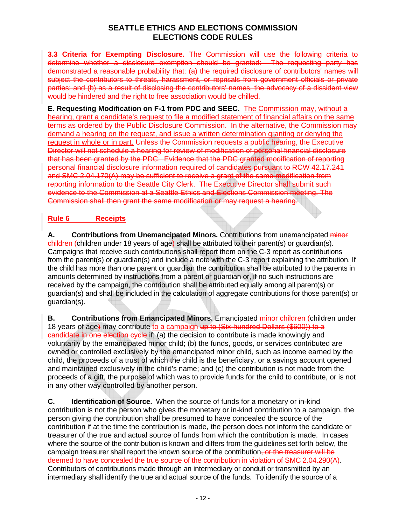**3.3 Criteria for Exempting Disclosure.** The Commission will use the following criteria to determine whether a disclosure exemption should be granted: The requesting party has demonstrated a reasonable probability that: (a) the required disclosure of contributors' names will subject the contributors to threats, harassment, or reprisals from government officials or private parties; and (b) as a result of disclosing the contributors' names, the advocacy of a dissident view would be hindered and the right to free association would be chilled.

**E. Requesting Modification on F-1 from PDC and SEEC.** The Commission may, without a hearing, grant a candidate's request to file a modified statement of financial affairs on the same terms as ordered by the Public Disclosure Commission. In the alternative, the Commission may demand a hearing on the request, and issue a written determination granting or denying the request in whole or in part. Unless the Commission requests a public hearing, the Executive Director will not schedule a hearing for review of modification of personal financial disclosure that has been granted by the PDC. Evidence that the PDC granted modification of reporting personal financial disclosure information required of candidates pursuant to RCW 42.17.241 and SMC 2.04.170(A) may be sufficient to receive a grant of the same modification from reporting information to the Seattle City Clerk. The Executive Director shall submit such evidence to the Commission at a Seattle Ethics and Elections Commission meeting. The Commission shall then grant the same modification or may request a hearing.

# **Rule 6 Receipts**

**A.** Contributions from Unemancipated Minors. Contributions from unemancipated minor children (children under 18 years of age) shall be attributed to their parent(s) or guardian(s). Campaigns that receive such contributions shall report them on the C-3 report as contributions from the parent(s) or guardian(s) and include a note with the C-3 report explaining the attribution. If the child has more than one parent or guardian the contribution shall be attributed to the parents in amounts determined by instructions from a parent or guardian or, if no such instructions are received by the campaign, the contribution shall be attributed equally among all parent(s) or guardian(s) and shall be included in the calculation of aggregate contributions for those parent(s) or guardian(s).

**B.** Contributions from Emancipated Minors. Emancipated minor children (children under 18 years of age) may contribute to a campaign up to (Six-hundred Dollars (\$600)) to a candidate in one election cycle if: (a) the decision to contribute is made knowingly and voluntarily by the emancipated minor child; (b) the funds, goods, or services contributed are owned or controlled exclusively by the emancipated minor child, such as income earned by the child, the proceeds of a trust of which the child is the beneficiary, or a savings account opened and maintained exclusively in the child's name; and (c) the contribution is not made from the proceeds of a gift, the purpose of which was to provide funds for the child to contribute, or is not in any other way controlled by another person.

**C. Identification of Source.** When the source of funds for a monetary or in-kind contribution is not the person who gives the monetary or in-kind contribution to a campaign, the person giving the contribution shall be presumed to have concealed the source of the contribution if at the time the contribution is made, the person does not inform the candidate or treasurer of the true and actual source of funds from which the contribution is made. In cases where the source of the contribution is known and differs from the guidelines set forth below, the campaign treasurer shall report the known source of the contribution, or the treasurer will be deemed to have concealed the true source of the contribution in violation of SMC 2.04.290(A). Contributors of contributions made through an intermediary or conduit or transmitted by an intermediary shall identify the true and actual source of the funds. To identify the source of a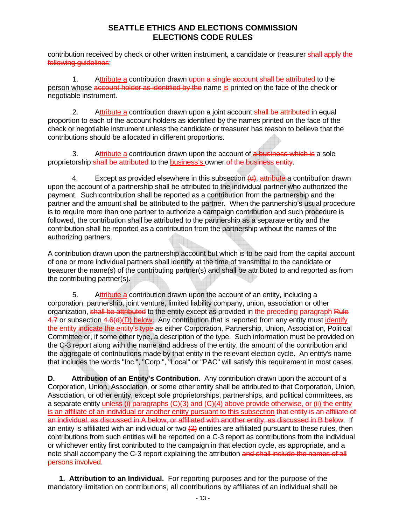contribution received by check or other written instrument, a candidate or treasurer shall apply the following guidelines:

1. Attribute a contribution drawn upon a single account shall be attributed to the person whose account holder as identified by the name is printed on the face of the check or negotiable instrument.

2. Attribute a contribution drawn upon a joint account shall be attributed in equal proportion to each of the account holders as identified by the names printed on the face of the check or negotiable instrument unless the candidate or treasurer has reason to believe that the contributions should be allocated in different proportions.

3. Attribute a contribution drawn upon the account of a business which is a sole proprietorship shall be attributed to the business's owner of the business entity.

4. Except as provided elsewhere in this subsection  $(d)$ , attribute a contribution drawn upon the account of a partnership shall be attributed to the individual partner who authorized the payment. Such contribution shall be reported as a contribution from the partnership and the partner and the amount shall be attributed to the partner. When the partnership's usual procedure is to require more than one partner to authorize a campaign contribution and such procedure is followed, the contribution shall be attributed to the partnership as a separate entity and the contribution shall be reported as a contribution from the partnership without the names of the authorizing partners.

A contribution drawn upon the partnership account but which is to be paid from the capital account of one or more individual partners shall identify at the time of transmittal to the candidate or treasurer the name(s) of the contributing partner(s) and shall be attributed to and reported as from the contributing partner(s).

5. Attribute a contribution drawn upon the account of an entity, including a corporation, partnership, joint venture, limited liability company, union, association or other organization, shall be attributed to the entity except as provided in the preceding paragraph Rule 4.7 or subsection  $4.6(d)(D)$  below. Any contribution that is reported from any entity must identify the entity indicate the entity's type as either Corporation, Partnership, Union, Association, Political Committee or, if some other type, a description of the type. Such information must be provided on the C-3 report along with the name and address of the entity, the amount of the contribution and the aggregate of contributions made by that entity in the relevant election cycle. An entity's name that includes the words "Inc.", "Corp.", "Local" or "PAC" will satisfy this requirement in most cases.

**D.** Attribution of an Entity's Contribution. Any contribution drawn upon the account of a Corporation, Union, Association, or some other entity shall be attributed to that Corporation, Union, Association, or other entity, except sole proprietorships, partnerships, and political committees, as a separate entity unless (i) paragraphs (C)(3) and (C)(4) above provide otherwise, or (ii) the entity is an affiliate of an individual or another entity pursuant to this subsection that entity is an affiliate of an individual, as discussed in A below, or affiliated with another entity, as discussed in B below. If an entity is affiliated with an individual or two  $(2)$  entities are affiliated pursuant to these rules, then contributions from such entities will be reported on a C-3 report as contributions from the individual or whichever entity first contributed to the campaign in that election cycle, as appropriate, and a note shall accompany the C-3 report explaining the attribution and shall include the names of all persons involved.

**1. Attribution to an Individual.** For reporting purposes and for the purpose of the mandatory limitation on contributions, all contributions by affiliates of an individual shall be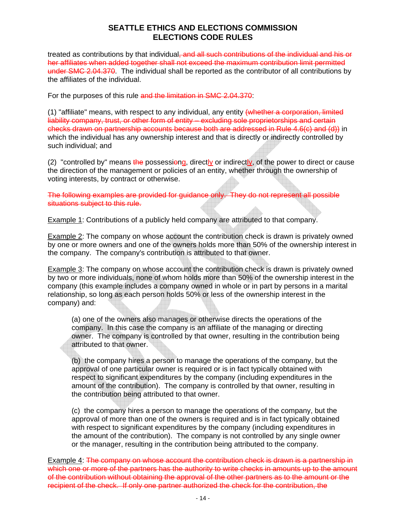treated as contributions by that individual, and all such contributions of the individual and his or her affiliates when added together shall not exceed the maximum contribution limit permitted under SMC 2.04.370. The individual shall be reported as the contributor of all contributions by the affiliates of the individual.

For the purposes of this rule and the limitation in SMC 2.04.370:

(1) "affiliate" means, with respect to any individual, any entity (whether a corporation, limited liability company, trust, or other form of entity – excluding sole proprietorships and certain checks drawn on partnership accounts because both are addressed in Rule 4.6(c) and (d)) in which the individual has any ownership interest and that is directly or indirectly controlled by such individual; and

(2) "controlled by" means the possessiong, directly or indirectly, of the power to direct or cause the direction of the management or policies of an entity, whether through the ownership of voting interests, by contract or otherwise.

The following examples are provided for guidance only. They do not represent all possible situations subject to this rule.

Example 1: Contributions of a publicly held company are attributed to that company.

Example 2: The company on whose account the contribution check is drawn is privately owned by one or more owners and one of the owners holds more than 50% of the ownership interest in the company. The company's contribution is attributed to that owner.

Example 3: The company on whose account the contribution check is drawn is privately owned by two or more individuals, none of whom holds more than 50% of the ownership interest in the company (this example includes a company owned in whole or in part by persons in a marital relationship, so long as each person holds 50% or less of the ownership interest in the company) and:

(a) one of the owners also manages or otherwise directs the operations of the company. In this case the company is an affiliate of the managing or directing owner. The company is controlled by that owner, resulting in the contribution being attributed to that owner.

(b) the company hires a person to manage the operations of the company, but the approval of one particular owner is required or is in fact typically obtained with respect to significant expenditures by the company (including expenditures in the amount of the contribution). The company is controlled by that owner, resulting in the contribution being attributed to that owner.

(c) the company hires a person to manage the operations of the company, but the approval of more than one of the owners is required and is in fact typically obtained with respect to significant expenditures by the company (including expenditures in the amount of the contribution). The company is not controlled by any single owner or the manager, resulting in the contribution being attributed to the company.

Example 4: The company on whose account the contribution check is drawn is a partnership in which one or more of the partners has the authority to write checks in amounts up to the amount of the contribution without obtaining the approval of the other partners as to the amount or the recipient of the check. If only one partner authorized the check for the contribution, the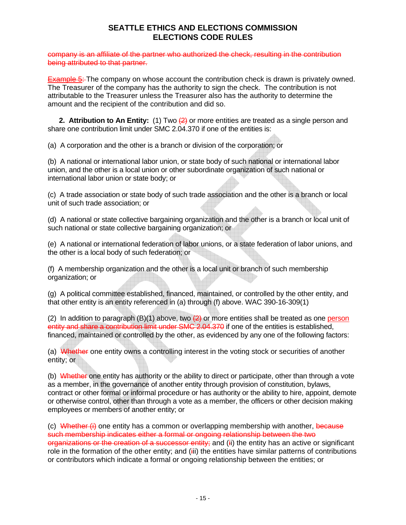company is an affiliate of the partner who authorized the check, resulting in the contribution being attributed to that partner.

**Example 5:** The company on whose account the contribution check is drawn is privately owned. The Treasurer of the company has the authority to sign the check. The contribution is not attributable to the Treasurer unless the Treasurer also has the authority to determine the amount and the recipient of the contribution and did so.

**2. Attribution to An Entity:** (1) Two (2) or more entities are treated as a single person and share one contribution limit under SMC 2.04.370 if one of the entities is:

(a) A corporation and the other is a branch or division of the corporation; or

(b) A national or international labor union, or state body of such national or international labor union, and the other is a local union or other subordinate organization of such national or international labor union or state body; or

(c) A trade association or state body of such trade association and the other is a branch or local unit of such trade association; or

(d) A national or state collective bargaining organization and the other is a branch or local unit of such national or state collective bargaining organization; or

(e) A national or international federation of labor unions, or a state federation of labor unions, and the other is a local body of such federation; or

(f) A membership organization and the other is a local unit or branch of such membership organization; or

(g) A political committee established, financed, maintained, or controlled by the other entity, and that other entity is an entity referenced in (a) through (f) above. WAC 390-16-309(1)

(2) In addition to paragraph  $(B)(1)$  above, two  $\left(\frac{2}{2}\right)$  or more entities shall be treated as one person entity and share a contribution limit under SMC 2.04.370 if one of the entities is established, financed, maintained or controlled by the other, as evidenced by any one of the following factors:

(a) Whether one entity owns a controlling interest in the voting stock or securities of another entity; or

(b) Whether one entity has authority or the ability to direct or participate, other than through a vote as a member, in the governance of another entity through provision of constitution, bylaws, contract or other formal or informal procedure or has authority or the ability to hire, appoint, demote or otherwise control, other than through a vote as a member, the officers or other decision making employees or members of another entity; or

(c) Whether  $(i)$  one entity has a common or overlapping membership with another, because such membership indicates either a formal or ongoing relationship between the two organizations or the creation of a successor entity; and (ii) the entity has an active or significant role in the formation of the other entity; and (iii) the entities have similar patterns of contributions or contributors which indicate a formal or ongoing relationship between the entities; or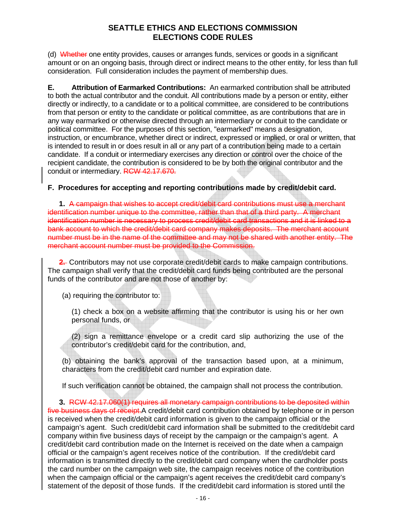(d) Whether one entity provides, causes or arranges funds, services or goods in a significant amount or on an ongoing basis, through direct or indirect means to the other entity, for less than full consideration. Full consideration includes the payment of membership dues.

**E. Attribution of Earmarked Contributions:** An earmarked contribution shall be attributed to both the actual contributor and the conduit. All contributions made by a person or entity, either directly or indirectly, to a candidate or to a political committee, are considered to be contributions from that person or entity to the candidate or political committee, as are contributions that are in any way earmarked or otherwise directed through an intermediary or conduit to the candidate or political committee. For the purposes of this section, "earmarked" means a designation, instruction, or encumbrance, whether direct or indirect, expressed or implied, or oral or written, that is intended to result in or does result in all or any part of a contribution being made to a certain candidate. If a conduit or intermediary exercises any direction or control over the choice of the recipient candidate, the contribution is considered to be by both the original contributor and the conduit or intermediary. RCW 42.17.670.

### **F. Procedures for accepting and reporting contributions made by credit/debit card.**

**1.** A campaign that wishes to accept credit/debit card contributions must use a merchant identification number unique to the committee, rather than that of a third party. A merchant identification number is necessary to process credit/debit card transactions and it is linked to a bank account to which the credit/debit card company makes deposits. The merchant account number must be in the name of the committee and may not be shared with another entity. The merchant account number must be provided to the Commission.

**2.** Contributors may not use corporate credit/debit cards to make campaign contributions. The campaign shall verify that the credit/debit card funds being contributed are the personal funds of the contributor and are not those of another by:

(a) requiring the contributor to:

(1) check a box on a website affirming that the contributor is using his or her own personal funds, or

(2) sign a remittance envelope or a credit card slip authorizing the use of the contributor's credit/debit card for the contribution, and,

(b) obtaining the bank's approval of the transaction based upon, at a minimum, characters from the credit/debit card number and expiration date.

If such verification cannot be obtained, the campaign shall not process the contribution.

**3.** RCW 42.17.060(1) requires all monetary campaign contributions to be deposited within five business days of receipt. A credit/debit card contribution obtained by telephone or in person is received when the credit/debit card information is given to the campaign official or the campaign's agent. Such credit/debit card information shall be submitted to the credit/debit card company within five business days of receipt by the campaign or the campaign's agent. A credit/debit card contribution made on the Internet is received on the date when a campaign official or the campaign's agent receives notice of the contribution. If the credit/debit card information is transmitted directly to the credit/debit card company when the cardholder posts the card number on the campaign web site, the campaign receives notice of the contribution when the campaign official or the campaign's agent receives the credit/debit card company's statement of the deposit of those funds. If the credit/debit card information is stored until the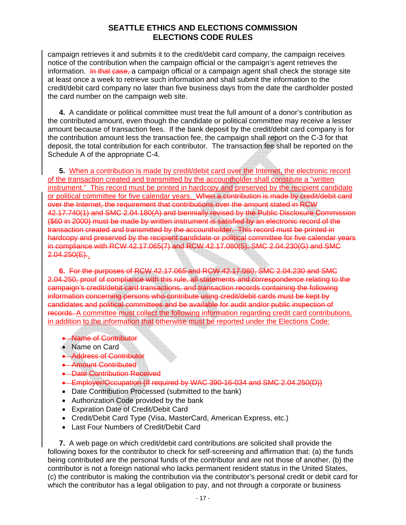campaign retrieves it and submits it to the credit/debit card company, the campaign receives notice of the contribution when the campaign official or the campaign's agent retrieves the information. In that case, a campaign official or a campaign agent shall check the storage site at least once a week to retrieve such information and shall submit the information to the credit/debit card company no later than five business days from the date the cardholder posted the card number on the campaign web site.

**4.** A candidate or political committee must treat the full amount of a donor's contribution as the contributed amount, even though the candidate or political committee may receive a lesser amount because of transaction fees. If the bank deposit by the credit/debit card company is for the contribution amount less the transaction fee, the campaign shall report on the C-3 for that deposit, the total contribution for each contributor. The transaction fee shall be reported on the Schedule A of the appropriate C-4.

**5.** When a contribution is made by credit/debit card over the Internet, the electronic record of the transaction created and transmitted by the accountholder shall constitute a "written instrument." This record must be printed in hardcopy and preserved by the recipient candidate or political committee for five calendar years. When a contribution is made by credit/debit card over the Internet, the requirement that contributions over the amount stated in RCW 42.17.740(1) and SMC 2.04.180(A) and biennially revised by the Public Disclosure Commission (\$60 in 2000) must be made by written instrument is satisfied by an electronic record of the transaction created and transmitted by the accountholder. This record must be printed in hardcopy and preserved by the recipient candidate or political committee for five calendar years in compliance with RCW 42.17.065(7) and RCW 42.17.080(5), SMC 2.04.230(G) and SMC 2.04.250(E)..

**6.** For the purposes of RCW 42.17.065 and RCW 42.17.080, SMC 2.04.230 and SMC 2.04.250, proof of compliance with this rule, all statements and correspondence relating to the campaign's credit/debit card transactions, and transaction records containing the following information concerning persons who contribute using credit/debit cards must be kept by candidates and political committees and be available for audit and/or public inspection of records. A committee must collect the following information regarding credit card contributions, in addition to the information that otherwise must be reported under the Elections Code:

- Name of Contributor
- Name on Card
- Address of Contributor
- Amount Contributed
- Date Contribution Received
- Employer/Occupation (If required by WAC 390-16-034 and SMC 2.04.250(D))
- Date Contribution Processed (submitted to the bank)
- Authorization Code provided by the bank
- Expiration Date of Credit/Debit Card
- Credit/Debit Card Type (Visa, MasterCard, American Express, etc.)
- Last Four Numbers of Credit/Debit Card

**7.** A web page on which credit/debit card contributions are solicited shall provide the following boxes for the contributor to check for self-screening and affirmation that: (a) the funds being contributed are the personal funds of the contributor and are not those of another, (b) the contributor is not a foreign national who lacks permanent resident status in the United States, (c) the contributor is making the contribution via the contributor's personal credit or debit card for which the contributor has a legal obligation to pay, and not through a corporate or business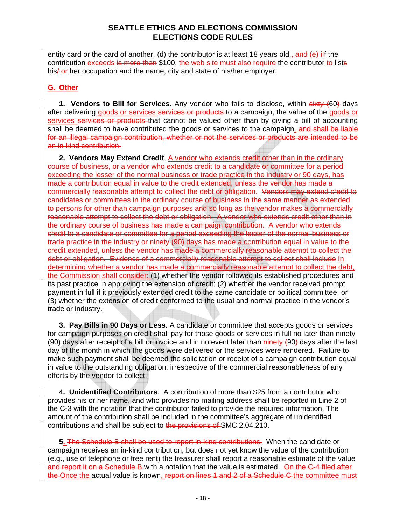entity card or the card of another, (d) the contributor is at least 18 years old<sub>-</sub>, and (e) ilf the contribution exceeds is more than \$100, the web site must also require the contributor to lists his/ or her occupation and the name, city and state of his/her employer.

### **G. Other**

**1. Vendors to Bill for Services.** Any vendor who fails to disclose, within sixty (60) days after delivering goods or services services or products to a campaign, the value of the goods or services services or products that cannot be valued other than by giving a bill of accounting shall be deemed to have contributed the goods or services to the campaign. and shall be liable for an illegal campaign contribution, whether or not the services or products are intended to be an in-kind contribution.

**2. Vendors May Extend Credit**. A vendor who extends credit other than in the ordinary course of business, or a vendor who extends credit to a candidate or committee for a period exceeding the lesser of the normal business or trade practice in the industry or 90 days, has made a contribution equal in value to the credit extended, unless the vendor has made a commercially reasonable attempt to collect the debt or obligation. Vendors may extend credit to candidates or committees in the ordinary course of business in the same manner as extended to persons for other than campaign purposes and so long as the vendor makes a commercially reasonable attempt to collect the debt or obligation. A vendor who extends credit other than in the ordinary course of business has made a campaign contribution. A vendor who extends credit to a candidate or committee for a period exceeding the lesser of the normal business or trade practice in the industry or ninety (90) days has made a contribution equal in value to the credit extended, unless the vendor has made a commercially reasonable attempt to collect the debt or obligation. Evidence of a commercially reasonable attempt to collect shall include In determining whether a vendor has made a commercially reasonable attempt to collect the debt, the Commission shall consider: (1) whether the vendor followed its established procedures and its past practice in approving the extension of credit; (2) whether the vendor received prompt payment in full if it previously extended credit to the same candidate or political committee; or (3) whether the extension of credit conformed to the usual and normal practice in the vendor's trade or industry.

**3. Pay Bills in 90 Days or Less.** A candidate or committee that accepts goods or services for campaign purposes on credit shall pay for those goods or services in full no later than ninety (90) days after receipt of a bill or invoice and in no event later than  $\frac{$  and  $\frac{1}{2}$  and and last day of the month in which the goods were delivered or the services were rendered. Failure to make such payment shall be deemed the solicitation or receipt of a campaign contribution equal in value to the outstanding obligation, irrespective of the commercial reasonableness of any efforts by the vendor to collect.

**4. Unidentified Contributors**. A contribution of more than \$25 from a contributor who provides his or her name, and who provides no mailing address shall be reported in Line 2 of the C-3 with the notation that the contributor failed to provide the required information. The amount of the contribution shall be included in the committee's aggregate of unidentified contributions and shall be subject to the provisions of SMC 2.04.210.

**5.** The Schedule B shall be used to report in-kind contributions. When the candidate or campaign receives an in-kind contribution, but does not yet know the value of the contribution (e.g., use of telephone or free rent) the treasurer shall report a reasonable estimate of the value and report it on a Schedule B-with a notation that the value is estimated. On the C-4 filed after the Once the actual value is known, report on lines 1 and 2 of a Schedule C the committee must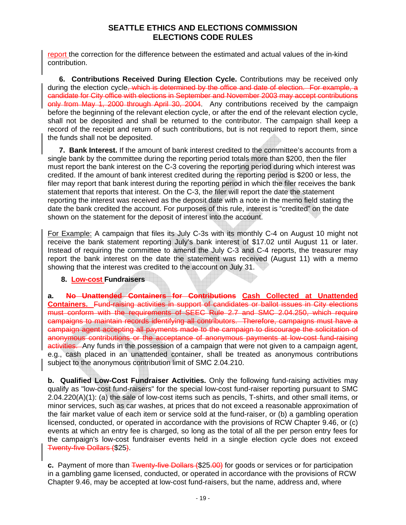report the correction for the difference between the estimated and actual values of the in-kind contribution.

**6. Contributions Received During Election Cycle.** Contributions may be received only during the election cycle, which is determined by the office and date of election. For example, a candidate for City office with elections in September and November 2003 may accept contributions only from May 1, 2000 through April 30, 2004. Any contributions received by the campaign before the beginning of the relevant election cycle, or after the end of the relevant election cycle, shall not be deposited and shall be returned to the contributor. The campaign shall keep a record of the receipt and return of such contributions, but is not required to report them, since the funds shall not be deposited.

**7. Bank Interest.** If the amount of bank interest credited to the committee's accounts from a single bank by the committee during the reporting period totals more than \$200, then the filer must report the bank interest on the C-3 covering the reporting period during which interest was credited. If the amount of bank interest credited during the reporting period is \$200 or less, the filer may report that bank interest during the reporting period in which the filer receives the bank statement that reports that interest. On the C-3, the filer will report the date the statement reporting the interest was received as the deposit date with a note in the memo field stating the date the bank credited the account. For purposes of this rule, interest is "credited" on the date shown on the statement for the deposit of interest into the account.

For Example: A campaign that files its July C-3s with its monthly C-4 on August 10 might not receive the bank statement reporting July's bank interest of \$17.02 until August 11 or later. Instead of requiring the committee to amend the July C-3 and C-4 reports, the treasurer may report the bank interest on the date the statement was received (August 11) with a memo showing that the interest was credited to the account on July 31.

#### **8. Low-cost Fundraisers**

**a. No Unattended Containers for Contributions Cash Collected at Unattended Containers.** Fund-raising activities in support of candidates or ballot issues in City elections must conform with the requirements of SEEC Rule 2.7 and SMC 2.04.250, which require campaigns to maintain records identifying all contributors. Therefore, campaigns must have a campaign agent accepting all payments made to the campaign to discourage the solicitation of anonymous contributions or the acceptance of anonymous payments at low-cost fund-raising activities. Any funds in the possession of a campaign that were not given to a campaign agent, e.g., cash placed in an unattended container, shall be treated as anonymous contributions subject to the anonymous contribution limit of SMC 2.04.210.

**b. Qualified Low-Cost Fundraiser Activities.** Only the following fund-raising activities may qualify as "low-cost fund-raisers" for the special low-cost fund-raiser reporting pursuant to SMC 2.04.220(A)(1): (a) the sale of low-cost items such as pencils, T-shirts, and other small items, or minor services, such as car washes, at prices that do not exceed a reasonable approximation of the fair market value of each item or service sold at the fund-raiser, or (b) a gambling operation licensed, conducted, or operated in accordance with the provisions of RCW Chapter 9.46, or (c) events at which an entry fee is charged, so long as the total of all the per person entry fees for the campaign's low-cost fundraiser events held in a single election cycle does not exceed Twenty-five Dollars (\$25).

**c.** Payment of more than Twenty-five Dollars (\$25.00) for goods or services or for participation in a gambling game licensed, conducted, or operated in accordance with the provisions of RCW Chapter 9.46, may be accepted at low-cost fund-raisers, but the name, address and, where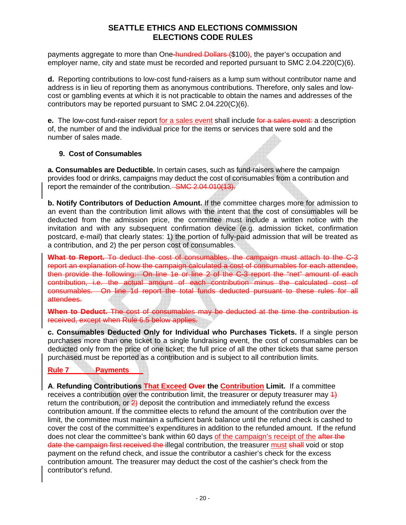payments aggregate to more than One-hundred Dollars (\$100), the payer's occupation and employer name, city and state must be recorded and reported pursuant to SMC 2.04.220(C)(6).

**d.** Reporting contributions to low-cost fund-raisers as a lump sum without contributor name and address is in lieu of reporting them as anonymous contributions. Therefore, only sales and lowcost or gambling events at which it is not practicable to obtain the names and addresses of the contributors may be reported pursuant to SMC 2.04.220(C)(6).

**e.** The low-cost fund-raiser report for a sales event shall include for a sales event: a description of, the number of and the individual price for the items or services that were sold and the number of sales made.

### **9. Cost of Consumables**

**a. Consumables are Deductible.** In certain cases, such as fund-raisers where the campaign provides food or drinks, campaigns may deduct the cost of consumables from a contribution and report the remainder of the contribution. SMC 2.04.010(13).

**b. Notify Contributors of Deduction Amount.** If the committee charges more for admission to an event than the contribution limit allows with the intent that the cost of consumables will be deducted from the admission price, the committee must include a written notice with the invitation and with any subsequent confirmation device (e.g. admission ticket, confirmation postcard, e-mail) that clearly states: 1) the portion of fully-paid admission that will be treated as a contribution, and 2) the per person cost of consumables.

**What to Report.** To deduct the cost of consumables, the campaign must attach to the C-3 report an explanation of how the campaign calculated a cost of consumables for each attendee, then provide the following: On line 1e or line 2 of the C-3 report the "net" amount of each contribution, i.e. the actual amount of each contribution minus the calculated cost of consumables. On line 1d report the total funds deducted pursuant to these rules for all attendees.

**When to Deduct.** The cost of consumables may be deducted at the time the contribution is received, except when Rule 6.5 below applies.

**c. Consumables Deducted Only for Individual who Purchases Tickets.** If a single person purchases more than one ticket to a single fundraising event, the cost of consumables can be deducted only from the price of one ticket; the full price of all the other tickets that same person purchased must be reported as a contribution and is subject to all contribution limits.

### **Rule 7 Payments**

**A**. **Refunding Contributions That Exceed Over the Contribution Limit.** If a committee receives a contribution over the contribution limit, the treasurer or deputy treasurer may  $\ddot{4}$ return the contribution, or  $\frac{2}{2}$  deposit the contribution and immediately refund the excess contribution amount. If the committee elects to refund the amount of the contribution over the limit, the committee must maintain a sufficient bank balance until the refund check is cashed to cover the cost of the committee's expenditures in addition to the refunded amount. If the refund does not clear the committee's bank within 60 days of the campaign's receipt of the after the date the campaign first received the illegal contribution, the treasurer must shall void or stop payment on the refund check, and issue the contributor a cashier's check for the excess contribution amount. The treasurer may deduct the cost of the cashier's check from the contributor's refund.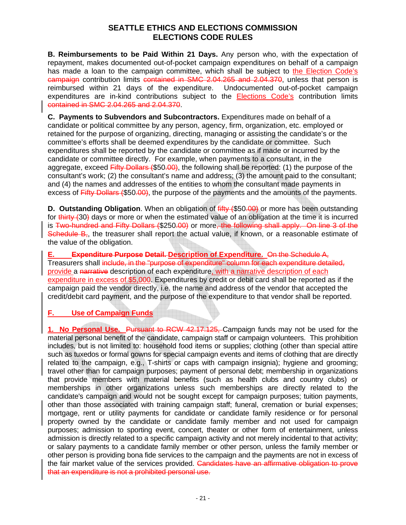**B. Reimbursements to be Paid Within 21 Days.** Any person who, with the expectation of repayment, makes documented out-of-pocket campaign expenditures on behalf of a campaign has made a loan to the campaign committee, which shall be subject to the Election Code's campaign contribution limits contained in SMC 2.04.265 and 2.04.370, unless that person is reimbursed within 21 days of the expenditure. Undocumented out-of-pocket campaign expenditures are in-kind contributions subject to the Elections Code's contribution limits contained in SMC 2.04.265 and 2.04.370.

**C. Payments to Subvendors and Subcontractors.** Expenditures made on behalf of a candidate or political committee by any person, agency, firm, organization, etc. employed or retained for the purpose of organizing, directing, managing or assisting the candidate's or the committee's efforts shall be deemed expenditures by the candidate or committee. Such expenditures shall be reported by the candidate or committee as if made or incurred by the candidate or committee directly. For example, when payments to a consultant, in the aggregate, exceed Fifty Dollars (\$50.00), the following shall be reported: (1) the purpose of the consultant's work; (2) the consultant's name and address; (3) the amount paid to the consultant; and (4) the names and addresses of the entities to whom the consultant made payments in excess of Fifty Dollars (\$50.00), the purpose of the payments and the amounts of the payments.

**D. Outstanding Obligation**. When an obligation of  $\frac{f}{f}$  (\$50.00) or more has been outstanding for thirty (30) days or more or when the estimated value of an obligation at the time it is incurred is Two-hundred and Fifty Dollars (\$250.00) or more, the following shall apply. On line 3 of the Schedule B, the treasurer shall report the actual value, if known, or a reasonable estimate of the value of the obligation.

**E. Expenditure Purpose Detail. Description of Expenditure.** On the Schedule A, Treasurers shall include, in the "purpose of expenditure" column for each expenditure detailed, provide a narrative description of each expenditure, with a narrative description of each expenditure in excess of \$5,000. Expenditures by credit or debit card shall be reported as if the campaign paid the vendor directly, i.e. the name and address of the vendor that accepted the credit/debit card payment, and the purpose of the expenditure to that vendor shall be reported.

**F. Use of Campaign Funds**

**1. No Personal Use.** Pursuant to RCW 42.17.125, Campaign funds may not be used for the material personal benefit of the candidate, campaign staff or campaign volunteers. This prohibition includes, but is not limited to: household food items or supplies; clothing (other than special attire such as tuxedos or formal gowns for special campaign events and items of clothing that are directly related to the campaign, e.g., T-shirts or caps with campaign insignia); hygiene and grooming; travel other than for campaign purposes; payment of personal debt; membership in organizations that provide members with material benefits (such as health clubs and country clubs) or memberships in other organizations unless such memberships are directly related to the candidate's campaign and would not be sought except for campaign purposes; tuition payments, other than those associated with training campaign staff; funeral, cremation or burial expenses; mortgage, rent or utility payments for candidate or candidate family residence or for personal property owned by the candidate or candidate family member and not used for campaign purposes; admission to sporting event, concert, theater or other form of entertainment, unless admission is directly related to a specific campaign activity and not merely incidental to that activity; or salary payments to a candidate family member or other person, unless the family member or other person is providing bona fide services to the campaign and the payments are not in excess of the fair market value of the services provided. Candidates have an affirmative obligation to prove that an expenditure is not a prohibited personal use.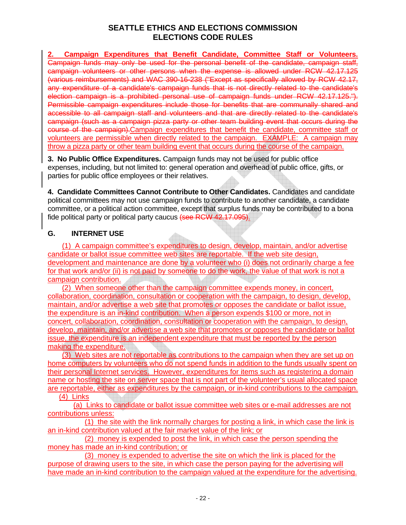**2. Campaign Expenditures that Benefit Candidate, Committee Staff or Volunteers.** Campaign funds may only be used for the personal benefit of the candidate, campaign staff, campaign volunteers or other persons when the expense is allowed under RCW 42.17.125 (various reimbursements) and WAC 390-16-238 ("Except as specifically allowed by RCW 42.17, any expenditure of a candidate's campaign funds that is not directly related to the candidate's election campaign is a prohibited personal use of campaign funds under RCW 42.17.125."). Permissible campaign expenditures include those for benefits that are communally shared and accessible to all campaign staff and volunteers and that are directly related to the candidate's campaign (such as a campaign pizza party or other team building event that occurs during the course of the campaign).Campaign expenditures that benefit the candidate, committee staff or volunteers are permissible when directly related to the campaign. EXAMPLE: A campaign may throw a pizza party or other team building event that occurs during the course of the campaign.

**3. No Public Office Expenditures.** Campaign funds may not be used for public office expenses, including, but not limited to: general operation and overhead of public office, gifts, or parties for public office employees or their relatives.

**4. Candidate Committees Cannot Contribute to Other Candidates.** Candidates and candidate political committees may not use campaign funds to contribute to another candidate, a candidate committee, or a political action committee, except that surplus funds may be contributed to a bona fide political party or political party caucus (see RCW 42.17.095).

### **G. INTERNET USE**

(1) A campaign committee's expenditures to design, develop, maintain, and/or advertise candidate or ballot issue committee web sites are reportable. If the web site design, development and maintenance are done by a volunteer who (i) does not ordinarily charge a fee for that work and/or (ii) is not paid by someone to do the work, the value of that work is not a campaign contribution.

(2) When someone other than the campaign committee expends money, in concert, collaboration, coordination, consultation or cooperation with the campaign, to design, develop, maintain, and/or advertise a web site that promotes or opposes the candidate or ballot issue, the expenditure is an in-kind contribution. When a person expends \$100 or more, not in concert, collaboration, coordination, consultation or cooperation with the campaign, to design, develop, maintain, and/or advertise a web site that promotes or opposes the candidate or ballot issue, the expenditure is an independent expenditure that must be reported by the person making the expenditure.

(3) Web sites are not reportable as contributions to the campaign when they are set up on home computers by volunteers who do not spend funds in addition to the funds usually spent on their personal Internet services. However, expenditures for items such as registering a domain name or hosting the site on server space that is not part of the volunteer's usual allocated space are reportable, either as expenditures by the campaign, or in-kind contributions to the campaign.

(4) Links

(a) Links to candidate or ballot issue committee web sites or e-mail addresses are not contributions unless:

(1) the site with the link normally charges for posting a link, in which case the link is an in-kind contribution valued at the fair market value of the link; or

(2) money is expended to post the link, in which case the person spending the money has made an in-kind contribution; or

(3) money is expended to advertise the site on which the link is placed for the purpose of drawing users to the site, in which case the person paying for the advertising will have made an in-kind contribution to the campaign valued at the expenditure for the advertising.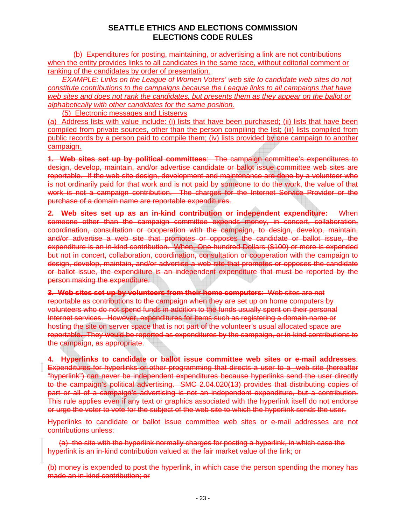(b) Expenditures for posting, maintaining, or advertising a link are not contributions when the entity provides links to all candidates in the same race, without editorial comment or ranking of the candidates by order of presentation.

*EXAMPLE: Links on the League of Women Voters' web site to candidate web sites do not constitute contributions to the campaigns because the League links to all campaigns that have web sites and does not rank the candidates, but presents them as they appear on the ballot or alphabetically with other candidates for the same position.*

(5) Electronic messages and Listservs

(a) Address lists with value include: (i) lists that have been purchased; (ii) lists that have been compiled from private sources, other than the person compiling the list; (iii) lists compiled from public records by a person paid to compile them; (iv) lists provided by one campaign to another campaign.

**1. Web sites set up by political committees**: The campaign committee's expenditures to design, develop, maintain, and/or advertise candidate or ballot issue committee web sites are reportable. If the web site design, development and maintenance are done by a volunteer who is not ordinarily paid for that work and is not paid by someone to do the work, the value of that work is not a campaign contribution. The charges for the Internet Service Provider or the purchase of a domain name are reportable expenditures.

**2. Web sites set up as an in-kind contribution or independent expenditure:** When someone other than the campaign committee expends money, in concert, collaboration, coordination, consultation or cooperation with the campaign, to design, develop, maintain, and/or advertise a web site that promotes or opposes the candidate or ballot issue, the expenditure is an in-kind contribution. When, One-hundred Dollars (\$100) or more is expended but not in concert, collaboration, coordination, consultation or cooperation with the campaign to design, develop, maintain, and/or advertise a web site that promotes or opposes the candidate or ballot issue, the expenditure is an independent expenditure that must be reported by the person making the expenditure.

**3. Web sites set up by volunteers from their home computers**: Web sites are not reportable as contributions to the campaign when they are set up on home computers by volunteers who do not spend funds in addition to the funds usually spent on their personal Internet services. However, expenditures for items such as registering a domain name or hosting the site on server space that is not part of the volunteer's usual allocated space are reportable. They would be reported as expenditures by the campaign, or in-kind contributions to the campaign, as appropriate.

**4. Hyperlinks to candidate or ballot issue committee web sites or e-mail addresses**. Expenditures for hyperlinks or other programming that directs a user to a web site (hereafter "hyperlink") can never be independent expenditures because hyperlinks send the user directly to the campaign's political advertising. SMC 2.04.020(13) provides that distributing copies of part or all of a campaign's advertising is not an independent expenditure, but a contribution. This rule applies even if any text or graphics associated with the hyperlink itself do not endorse or urge the voter to vote for the subject of the web site to which the hyperlink sends the user.

Hyperlinks to candidate or ballot issue committee web sites or e-mail addresses are not contributions unless:

(a) the site with the hyperlink normally charges for posting a hyperlink, in which case the hyperlink is an in-kind contribution valued at the fair market value of the link; or

(b) money is expended to post the hyperlink, in which case the person spending the money has made an in-kind contribution; or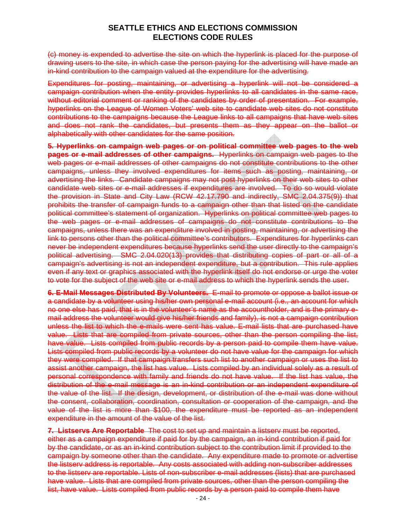(c) money is expended to advertise the site on which the hyperlink is placed for the purpose of drawing users to the site, in which case the person paying for the advertising will have made an in-kind contribution to the campaign valued at the expenditure for the advertising.

Expenditures for posting, maintaining, or advertising a hyperlink will not be considered a campaign contribution when the entity provides hyperlinks to all candidates in the same race, without editorial comment or ranking of the candidates by order of presentation. For example, hyperlinks on the League of Women Voters' web site to candidate web sites do not constitute contributions to the campaigns because the League links to all campaigns that have web sites and does not rank the candidates, but presents them as they appear on the ballot or alphabetically with other candidates for the same position.

**5. Hyperlinks on campaign web pages or on political committee web pages to the web pages or e-mail addresses of other campaigns.** Hyperlinks on campaign web pages to the web pages or e-mail addresses of other campaigns do not constitute contributions to the other campaigns, unless they involved expenditures for items such as posting, maintaining, or advertising the links. Candidate campaigns may not post hyperlinks on their web sites to other candidate web sites or e-mail addresses if expenditures are involved. To do so would violate the provision in State and City Law (RCW 42.17.790 and indirectly, SMC 2.04.375(9)) that prohibits the transfer of campaign funds to a campaign other than that listed on the candidate political committee's statement of organization. Hyperlinks on political committee web pages to the web pages or e-mail addresses of campaigns do not constitute contributions to the campaigns, unless there was an expenditure involved in posting, maintaining, or advertising the link to persons other than the political committee's contributors. Expenditures for hyperlinks can never be independent expenditures because hyperlinks send the user directly to the campaign's political advertising. SMC 2.04.020(13) provides that distributing copies of part or all of a campaign's advertising is not an independent expenditure, but a contribution. This rule applies even if any text or graphics associated with the hyperlink itself do not endorse or urge the voter to vote for the subject of the web site or e-mail address to which the hyperlink sends the user.

**6. E-Mail Messages Distributed By Volunteers.** E-mail to promote or oppose a ballot issue or a candidate by a volunteer using his/her own personal e-mail account (i.e., an account for which no one else has paid, that is in the volunteer's name as the accountholder, and is the primary email address the volunteer would give his/her friends and family), is not a campaign contribution unless the list to which the e-mails were sent has value. E-mail lists that are purchased have value. Lists that are compiled from private sources, other than the person compiling the list, have value. Lists compiled from public records by a person paid to compile them have value. Lists compiled from public records by a volunteer do not have value for the campaign for which they were compiled. If that campaign transfers such list to another campaign or uses the list to assist another campaign, the list has value. Lists compiled by an individual solely as a result of personal correspondence with family and friends do not have value. If the list has value, the distribution of the e-mail message is an in-kind contribution or an independent expenditure of the value of the list. If the design, development, or distribution of the e-mail was done without the consent, collaboration, coordination, consultation or cooperation of the campaign, and the value of the list is more than \$100, the expenditure must be reported as an independent expenditure in the amount of the value of the list.

**7. Listservs Are Reportable** The cost to set up and maintain a listserv must be reported, either as a campaign expenditure if paid for by the campaign, an in-kind contribution if paid for by the candidate, or as an in-kind contribution subject to the contribution limit if provided to the campaign by someone other than the candidate. Any expenditure made to promote or advertise the listserv address is reportable. Any costs associated with adding non-subscriber addresses to the listserv are reportable. Lists of non-subscriber e-mail addresses (lists) that are purchased have value. Lists that are compiled from private sources, other than the person compiling the list, have value. Lists compiled from public records by a person paid to compile them have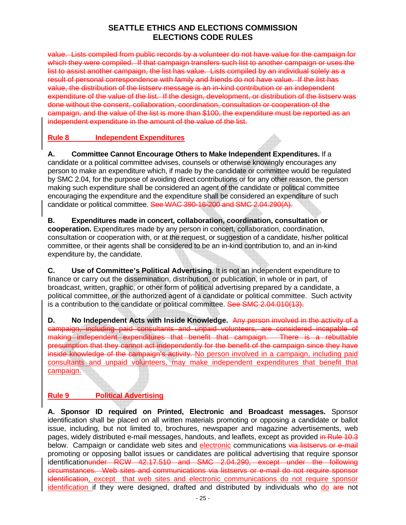value. Lists compiled from public records by a volunteer do not have value for the campaign for which they were compiled. If that campaign transfers such list to another campaign or uses the list to assist another campaign, the list has value. Lists compiled by an individual solely as a result of personal correspondence with family and friends do not have value. If the list has value, the distribution of the listserv message is an in-kind contribution or an independent expenditure of the value of the list. If the design, development, or distribution of the listsery was done without the consent, collaboration, coordination, consultation or cooperation of the campaign, and the value of the list is more than \$100, the expenditure must be reported as an independent expenditure in the amount of the value of the list.

### **Rule 8 Independent Expenditures**

**A. Committee Cannot Encourage Others to Make Independent Expenditures.** If a candidate or a political committee advises, counsels or otherwise knowingly encourages any person to make an expenditure which, if made by the candidate or committee would be regulated by SMC 2.04, for the purpose of avoiding direct contributions or for any other reason, the person making such expenditure shall be considered an agent of the candidate or political committee encouraging the expenditure and the expenditure shall be considered an expenditure of such candidate or political committee. See WAC 390-16-200 and SMC 2.04.290(A).

**B. Expenditures made in concert, collaboration, coordination, consultation or cooperation.** Expenditures made by any person in concert, collaboration, coordination, consultation or cooperation with, or at the request, or suggestion of a candidate, his/her political committee, or their agents shall be considered to be an in-kind contribution to, and an in-kind expenditure by, the candidate.

**C. Use of Committee's Political Advertising**. It is not an independent expenditure to finance or carry out the dissemination, distribution, or publication, in whole or in part, of broadcast, written, graphic, or other form of political advertising prepared by a candidate, a political committee, or the authorized agent of a candidate or political committee. Such activity is a contribution to the candidate or political committee. See SMC 2.04.010(13).

**D. No Independent Acts with Inside Knowledge.** Any person involved in the activity of a campaign, including paid consultants and unpaid volunteers, are considered incapable of making independent expenditures that benefit that campaign. There is a rebuttable presumption that they cannot act independently for the benefit of the campaign since they have inside knowledge of the campaign's activity. No person involved in a campaign, including paid consultants and unpaid volunteers, may make independent expenditures that benefit that campaign.

# **Rule 9 Political Advertising**

**A. Sponsor ID required on Printed, Electronic and Broadcast messages.** Sponsor identification shall be placed on all written materials promoting or opposing a candidate or ballot issue, including, but not limited to, brochures, newspaper and magazine advertisements, web pages, widely distributed e-mail messages, handouts, and leaflets, except as provided in Rule 10.3 below. Campaign or candidate web sites and electronic communications via listservs or e-mail promoting or opposing ballot issues or candidates are political advertising that require sponsor identificationunder RCW 42.17.510 and SMC 2.04.290, except under the following circumstances. Web sites and communications via listservs or e-mail do not require sponsor identification, except that web sites and electronic communications do not require sponsor identification if they were designed, drafted and distributed by individuals who do are not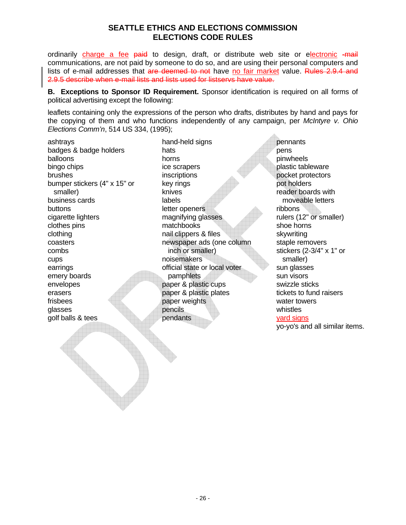ordinarily charge a fee paid to design, draft, or distribute web site or electronic -mail communications, are not paid by someone to do so, and are using their personal computers and lists of e-mail addresses that are deemed to not have no fair market value. Rules 2.9.4 and 2.9.5 describe when e-mail lists and lists used for listservs have value.

**B. Exceptions to Sponsor ID Requirement.** Sponsor identification is required on all forms of political advertising except the following:

leaflets containing only the expressions of the person who drafts, distributes by hand and pays for the copying of them and who functions independently of any campaign, per *McIntyre v. Ohio Elections Comm'n*, 514 US 334, (1995);

ashtrays badges & badge holders balloons bingo chips brushes bumper stickers (4" x 15" or smaller) business cards buttons cigarette lighters clothes pins clothing coasters combs cups earrings emery boards envelopes erasers frisbees glasses golf balls & tees

hand-held signs hats horns ice scrapers inscriptions key rings knives labels letter openers magnifying glasses matchbooks nail clippers & files newspaper ads (one column inch or smaller) noisemakers official state or local voter pamphlets paper & plastic cups paper & plastic plates paper weights pencils pendants

pennants pens pinwheels plastic tableware pocket protectors pot holders reader boards with moveable letters ribbons rulers (12" or smaller) shoe horns skywriting staple removers stickers (2-3/4" x 1" or smaller) sun glasses sun visors swizzle sticks tickets to fund raisers water towers whistles yard signs

yo-yo's and all similar items.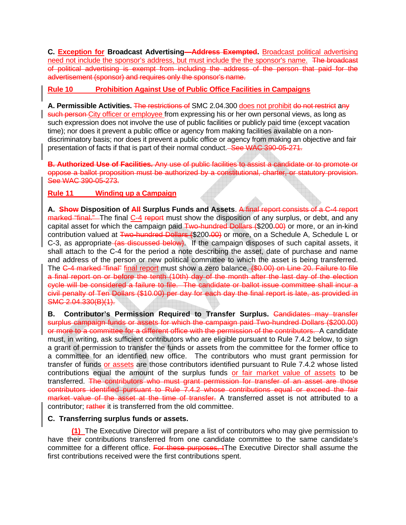**C. Exception for Broadcast Advertising—Address Exempted.** Broadcast political advertising need not include the sponsor's address, but must include the the sponsor's name. The broadcast of political advertising is exempt from including the address of the person that paid for the advertisement (sponsor) and requires only the sponsor's name.

### **Rule 10 Prohibition Against Use of Public Office Facilities in Campaigns**

**A. Permissible Activities.** The restrictions of SMC 2.04.300 does not prohibit do not restrict any such person-City officer or employee from expressing his or her own personal views, as long as such expression does not involve the use of public facilities or publicly paid time (except vacation time); nor does it prevent a public office or agency from making facilities available on a nondiscriminatory basis; nor does it prevent a public office or agency from making an objective and fair presentation of facts if that is part of their normal conduct. See WAC 390-05-271.

**B. Authorized Use of Facilities.** Any use of public facilities to assist a candidate or to promote or oppose a ballot proposition must be authorized by a constitutional, charter, or statutory provision. See WAC 390-05-273.

### **Rule 11 Winding up a Campaign**

**A. Show Disposition of All Surplus Funds and Assets**. A final report consists of a C-4 report marked "final." The final C-4 report must show the disposition of any surplus, or debt, and any capital asset for which the campaign paid Two-hundred Dollars (\$200.00) or more, or an in-kind contribution valued at Two-hundred Dollars (\$200.00) or more, on a Schedule A, Schedule L or C-3, as appropriate (as discussed below). If the campaign disposes of such capital assets, it shall attach to the C-4 for the period a note describing the asset, date of purchase and name and address of the person or new political committee to which the asset is being transferred. The C-4 marked "final" final report must show a zero balance. (\$0.00) on Line 20. Failure to file a final report on or before the tenth (10th) day of the month after the last day of the election cycle will be considered a failure to file. The candidate or ballot issue committee shall incur a civil penalty of Ten Dollars (\$10.00) per day for each day the final report is late, as provided in SMC 2.04.330(B)(1).

**B.** Contributor's Permission Required to Transfer Surplus. Candidates may transfer surplus campaign funds or assets for which the campaign paid Two-hundred Dollars (\$200.00) or more to a committee for a different office with the permission of the contributors. A candidate must, in writing, ask sufficient contributors who are eligible pursuant to Rule 7.4.2 below, to sign a grant of permission to transfer the funds or assets from the committee for the former office to a committee for an identified new office. The contributors who must grant permission for transfer of funds or assets are those contributors identified pursuant to Rule 7.4.2 whose listed contributions equal the amount of the surplus funds or fair market value of assets to be transferred. The contributors who must grant permission for transfer of an asset are those contributors identified pursuant to Rule 7.4.2 whose contributions equal or exceed the fair market value of the asset at the time of transfer. A transferred asset is not attributed to a contributor: rather it is transferred from the old committee.

#### **C. Transferring surplus funds or assets.**

**(1)** The Executive Director will prepare a list of contributors who may give permission to have their contributions transferred from one candidate committee to the same candidate's committee for a different office. For these purposes, tThe Executive Director shall assume the first contributions received were the first contributions spent.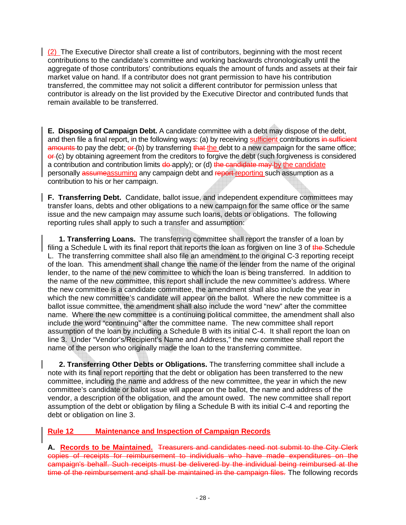(2) The Executive Director shall create a list of contributors, beginning with the most recent contributions to the candidate's committee and working backwards chronologically until the aggregate of those contributors' contributions equals the amount of funds and assets at their fair market value on hand. If a contributor does not grant permission to have his contribution transferred, the committee may not solicit a different contributor for permission unless that contributor is already on the list provided by the Executive Director and contributed funds that remain available to be transferred.

**E. Disposing of Campaign Debt.** A candidate committee with a debt may dispose of the debt, and then file a final report, in the following ways: (a) by receiving sufficient contributions in sufficient amounts to pay the debt; or (b) by transferring that the debt to a new campaign for the same office;  $\theta$  (c) by obtaining agreement from the creditors to forgive the debt (such forgiveness is considered a contribution and contribution limits  $d\theta$ -apply); or (d) the candidate may by the candidate personally assumeassuming any campaign debt and report reporting such assumption as a contribution to his or her campaign.

**F. Transferring Debt.** Candidate, ballot issue, and independent expenditure committees may transfer loans, debts and other obligations to a new campaign for the same office or the same issue and the new campaign may assume such loans, debts or obligations. The following reporting rules shall apply to such a transfer and assumption:

**1. Transferring Loans.** The transferring committee shall report the transfer of a loan by filing a Schedule L with its final report that reports the loan as forgiven on line 3 of the Schedule L. The transferring committee shall also file an amendment to the original C-3 reporting receipt of the loan. This amendment shall change the name of the lender from the name of the original lender, to the name of the new committee to which the loan is being transferred. In addition to the name of the new committee, this report shall include the new committee's address. Where the new committee is a candidate committee, the amendment shall also include the year in which the new committee's candidate will appear on the ballot. Where the new committee is a ballot issue committee, the amendment shall also include the word "new" after the committee name. Where the new committee is a continuing political committee, the amendment shall also include the word "continuing" after the committee name. The new committee shall report assumption of the loan by including a Schedule B with its initial C-4. It shall report the loan on line 3. Under "Vendor's/Recipient's Name and Address," the new committee shall report the name of the person who originally made the loan to the transferring committee.

**2. Transferring Other Debts or Obligations.** The transferring committee shall include a note with its final report reporting that the debt or obligation has been transferred to the new committee, including the name and address of the new committee, the year in which the new committee's candidate or ballot issue will appear on the ballot, the name and address of the vendor, a description of the obligation, and the amount owed. The new committee shall report assumption of the debt or obligation by filing a Schedule B with its initial C-4 and reporting the debt or obligation on line 3.

### **Rule 12 Maintenance and Inspection of Campaign Records**

**A. Records to be Maintained.** Treasurers and candidates need not submit to the City Clerk copies of receipts for reimbursement to individuals who have made expenditures on the campaign's behalf. Such receipts must be delivered by the individual being reimbursed at the time of the reimbursement and shall be maintained in the campaign files. The following records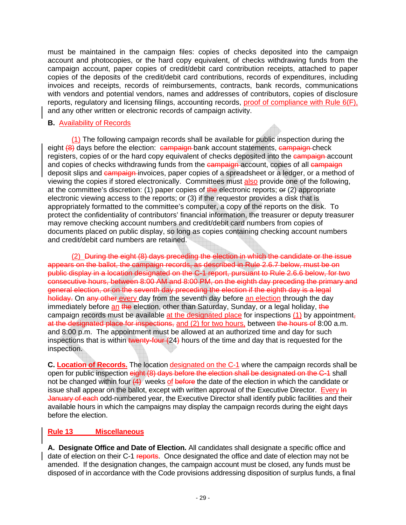must be maintained in the campaign files: copies of checks deposited into the campaign account and photocopies, or the hard copy equivalent, of checks withdrawing funds from the campaign account, paper copies of credit/debit card contribution receipts, attached to paper copies of the deposits of the credit/debit card contributions, records of expenditures, including invoices and receipts, records of reimbursements, contracts, bank records, communications with vendors and potential vendors, names and addresses of contributors, copies of disclosure reports, regulatory and licensing filings, accounting records, proof of compliance with Rule 6(F), and any other written or electronic records of campaign activity.

### **B.** Availability of Records

(1) The following campaign records shall be available for public inspection during the eight  $(8)$  days before the election:  $\epsilon$ ampaign bank account statements,  $\epsilon$ ampaign check registers, copies of or the hard copy equivalent of checks deposited into the campaign account and copies of checks withdrawing funds from the campaign account, copies of all campaign deposit slips and campaign invoices, paper copies of a spreadsheet or a ledger, or a method of viewing the copies if stored electronically. Committees must also provide one of the following, at the committee's discretion: (1) paper copies of the electronic reports;  $\Theta$ r (2) appropriate electronic viewing access to the reports; or (3) if the requestor provides a disk that is appropriately formatted to the committee's computer, a copy of the reports on the disk. To protect the confidentiality of contributors' financial information, the treasurer or deputy treasurer may remove checking account numbers and credit/debit card numbers from copies of documents placed on public display, so long as copies containing checking account numbers and credit/debit card numbers are retained.

(2) During the eight (8) days preceding the election in which the candidate or the issue appears on the ballot, the campaign records, as described in Rule 2.6.7 below, must be on public display in a location designated on the C-1 report, pursuant to Rule 2.6.6 below, for two consecutive hours, between 8:00 AM and 8:00 PM, on the eighth day preceding the primary and general election, or on the seventh day preceding the election if the eighth day is a legal holiday. On any other every day from the seventh day before an election through the day immediately before an the election, other than Saturday, Sunday, or a legal holiday, the campaign records must be available at the designated place for inspections (1) by appointment, at the designated place for inspections, and (2) for two hours, between the hours of 8:00 a.m. and 8:00 p.m. The appointment must be allowed at an authorized time and day for such inspections that is within twenty-four  $(24)$  hours of the time and day that is requested for the inspection.

**C. Location of Records.** The location designated on the C-1 where the campaign records shall be open for public inspection eight (8) days before the election shall be designated on the C-1 shall not be changed within four  $(4)$  weeks of before the date of the election in which the candidate or issue shall appear on the ballot, except with written approval of the Executive Director. Every In January of each odd-numbered year, the Executive Director shall identify public facilities and their available hours in which the campaigns may display the campaign records during the eight days before the election.

### **Rule 13 Miscellaneous**

**A. Designate Office and Date of Election.** All candidates shall designate a specific office and date of election on their C-1 reports. Once designated the office and date of election may not be amended. If the designation changes, the campaign account must be closed, any funds must be disposed of in accordance with the Code provisions addressing disposition of surplus funds, a final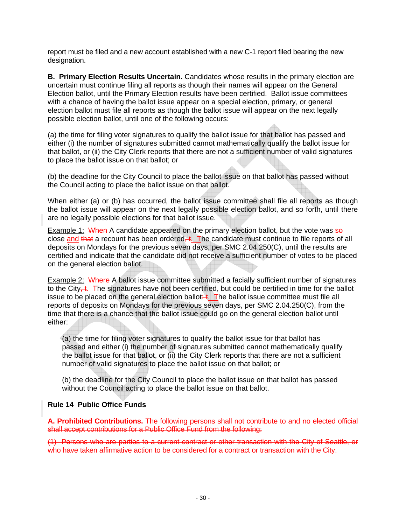report must be filed and a new account established with a new C-1 report filed bearing the new designation.

**B. Primary Election Results Uncertain.** Candidates whose results in the primary election are uncertain must continue filing all reports as though their names will appear on the General Election ballot, until the Primary Election results have been certified. Ballot issue committees with a chance of having the ballot issue appear on a special election, primary, or general election ballot must file all reports as though the ballot issue will appear on the next legally possible election ballot, until one of the following occurs:

(a) the time for filing voter signatures to qualify the ballot issue for that ballot has passed and either (i) the number of signatures submitted cannot mathematically qualify the ballot issue for that ballot, or (ii) the City Clerk reports that there are not a sufficient number of valid signatures to place the ballot issue on that ballot; or

(b) the deadline for the City Council to place the ballot issue on that ballot has passed without the Council acting to place the ballot issue on that ballot.

When either (a) or (b) has occurred, the ballot issue committee shall file all reports as though the ballot issue will appear on the next legally possible election ballot, and so forth, until there are no legally possible elections for that ballot issue.

Example 1: When A candidate appeared on the primary election ballot, but the vote was  $\frac{1}{2}$ close and that a recount has been ordered,  $\ddot{\textbf{t}}$ . The candidate must continue to file reports of all deposits on Mondays for the previous seven days, per SMC 2.04.250(C), until the results are certified and indicate that the candidate did not receive a sufficient number of votes to be placed on the general election ballot.

Example 2: Where A ballot issue committee submitted a facially sufficient number of signatures to the City $\leftarrow$ t. The signatures have not been certified, but could be certified in time for the ballot issue to be placed on the general election ballot:  $\ddagger$ . The ballot issue committee must file all reports of deposits on Mondays for the previous seven days, per SMC 2.04.250(C), from the time that there is a chance that the ballot issue could go on the general election ballot until either:

(a) the time for filing voter signatures to qualify the ballot issue for that ballot has passed and either (i) the number of signatures submitted cannot mathematically qualify the ballot issue for that ballot, or (ii) the City Clerk reports that there are not a sufficient number of valid signatures to place the ballot issue on that ballot; or

(b) the deadline for the City Council to place the ballot issue on that ballot has passed without the Council acting to place the ballot issue on that ballot.

#### **Rule 14 Public Office Funds**

**A. Prohibited Contributions.** The following persons shall not contribute to and no elected official shall accept contributions for a Public Office Fund from the following:

(1) Persons who are parties to a current contract or other transaction with the City of Seattle, or who have taken affirmative action to be considered for a contract or transaction with the City.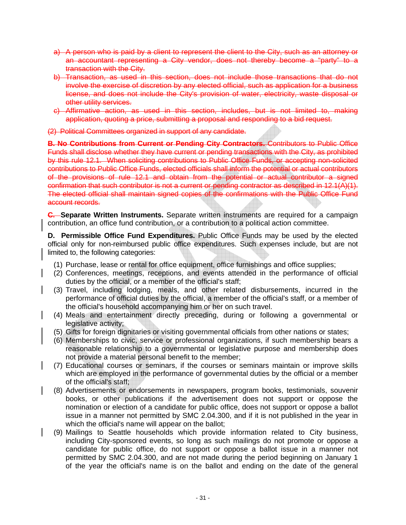- a) A person who is paid by a client to represent the client to the City, such as an attorney or an accountant representing a City vendor, does not thereby become a "party" to a transaction with the City.
- b) Transaction, as used in this section, does not include those transactions that do not involve the exercise of discretion by any elected official, such as application for a business license, and does not include the City's provision of water, electricity, waste disposal or other utility services.
- c) Affirmative action, as used in this section, includes, but is not limited to, making application, quoting a price, submitting a proposal and responding to a bid request.

(2) Political Committees organized in support of any candidate.

**B. No Contributions from Current or Pending City Contractors.** Contributors to Public Office Funds shall disclose whether they have current or pending transactions with the City, as prohibited by this rule 12.1. When soliciting contributions to Public Office Funds, or accepting non-solicited contributions to Public Office Funds, elected officials shall inform the potential or actual contributors of the provisions of rule 12.1 and obtain from the potential or actual contributor a signed confirmation that such contributor is not a current or pending contractor as described in 12.1(A)(1). The elected official shall maintain signed copies of the confirmations with the Public Office Fund account records.

**C. Separate Written Instruments.** Separate written instruments are required for a campaign contribution, an office fund contribution, or a contribution to a political action committee.

**D. Permissible Office Fund Expenditures.** Public Office Funds may be used by the elected official only for non-reimbursed public office expenditures. Such expenses include, but are not limited to, the following categories:

- (1) Purchase, lease or rental for office equipment, office furnishings and office supplies;
- (2) Conferences, meetings, receptions, and events attended in the performance of official duties by the official, or a member of the official's staff;
- (3) Travel, including lodging, meals, and other related disbursements, incurred in the performance of official duties by the official, a member of the official's staff, or a member of the official's household accompanying him or her on such travel.
- (4) Meals and entertainment directly preceding, during or following a governmental or legislative activity;
- (5) Gifts for foreign dignitaries or visiting governmental officials from other nations or states;
- (6) Memberships to civic, service or professional organizations, if such membership bears a reasonable relationship to a governmental or legislative purpose and membership does not provide a material personal benefit to the member;
- (7) Educational courses or seminars, if the courses or seminars maintain or improve skills which are employed in the performance of governmental duties by the official or a member of the official's staff;
- (8) Advertisements or endorsements in newspapers, program books, testimonials, souvenir books, or other publications if the advertisement does not support or oppose the nomination or election of a candidate for public office, does not support or oppose a ballot issue in a manner not permitted by SMC 2.04.300, and if it is not published in the year in which the official's name will appear on the ballot;
- (9) Mailings to Seattle households which provide information related to City business, including City-sponsored events, so long as such mailings do not promote or oppose a candidate for public office, do not support or oppose a ballot issue in a manner not permitted by SMC 2.04.300, and are not made during the period beginning on January 1 of the year the official's name is on the ballot and ending on the date of the general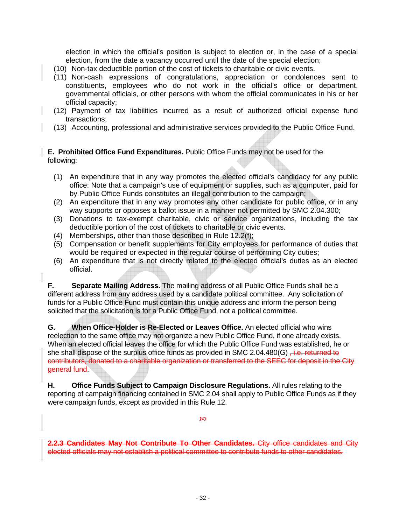election in which the official's position is subject to election or, in the case of a special election, from the date a vacancy occurred until the date of the special election;

- (10) Non-tax deductible portion of the cost of tickets to charitable or civic events.
- (11) Non-cash expressions of congratulations, appreciation or condolences sent to constituents, employees who do not work in the official's office or department, governmental officials, or other persons with whom the official communicates in his or her official capacity;
- (12) Payment of tax liabilities incurred as a result of authorized official expense fund transactions;
- (13) Accounting, professional and administrative services provided to the Public Office Fund.

#### **E. Prohibited Office Fund Expenditures.** Public Office Funds may not be used for the following:

- (1) An expenditure that in any way promotes the elected official's candidacy for any public office: Note that a campaign's use of equipment or supplies, such as a computer, paid for by Public Office Funds constitutes an illegal contribution to the campaign;
- (2) An expenditure that in any way promotes any other candidate for public office, or in any way supports or opposes a ballot issue in a manner not permitted by SMC 2.04.300;
- (3) Donations to tax-exempt charitable, civic or service organizations, including the tax deductible portion of the cost of tickets to charitable or civic events.
- (4) Memberships, other than those described in Rule 12.2(f);
- (5) Compensation or benefit supplements for City employees for performance of duties that would be required or expected in the regular course of performing City duties;
- (6) An expenditure that is not directly related to the elected official's duties as an elected official.

**F. Separate Mailing Address.** The mailing address of all Public Office Funds shall be a different address from any address used by a candidate political committee. Any solicitation of funds for a Public Office Fund must contain this unique address and inform the person being solicited that the solicitation is for a Public Office Fund, not a political committee.

**G. When Office-Holder is Re-Elected or Leaves Office.** An elected official who wins reelection to the same office may not organize a new Public Office Fund, if one already exists. When an elected official leaves the office for which the Public Office Fund was established, he or she shall dispose of the surplus office funds as provided in SMC 2.04.480(G)  $\frac{1}{10}$ . returned to contributors, donated to a charitable organization or transferred to the SEEC for deposit in the City general fund.

**H. Office Funds Subject to Campaign Disclosure Regulations.** All rules relating to the reporting of campaign financing contained in SMC 2.04 shall apply to Public Office Funds as if they were campaign funds, except as provided in this Rule 12.

 $\mathfrak{D}$ 

**2.2.3 Candidates May Not Contribute To Other Candidates.** City office candidates and City elected officials may not establish a political committee to contribute funds to other candidates.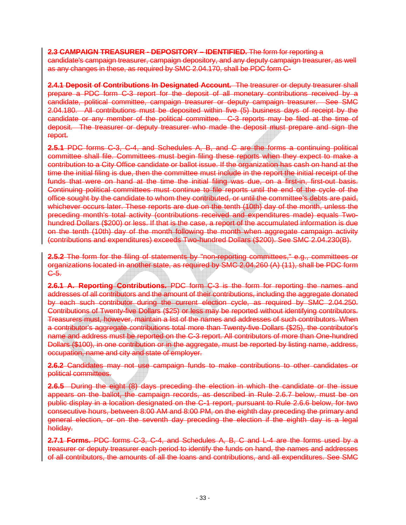#### **2.3 CAMPAIGN TREASURER - DEPOSITORY – IDENTIFIED.** The form for reporting a

candidate's campaign treasurer, campaign depository, and any deputy campaign treasurer, as well as any changes in these, as required by SMC 2.04.170, shall be PDC form C-

**2.4.1 Deposit of Contributions In Designated Account.** The treasurer or deputy treasurer shall prepare a PDC form C-3 report for the deposit of all monetary contributions received by a candidate, political committee, campaign treasurer or deputy campaign treasurer. See SMC 2.04.180. All contributions must be deposited within five (5) business days of receipt by the candidate or any member of the political committee. C-3 reports may be filed at the time of deposit. The treasurer or deputy treasurer who made the deposit must prepare and sign the report.

**2.5.1** PDC forms C-3, C-4, and Schedules A, B, and C are the forms a continuing political committee shall file. Committees must begin filing these reports when they expect to make a contribution to a City Office candidate or ballot issue. If the organization has cash on hand at the time the initial filing is due, then the committee must include in the report the initial receipt of the funds that were on hand at the time the initial filing was due, on a first-in, first-out basis. Continuing political committees must continue to file reports until the end of the cycle of the office sought by the candidate to whom they contributed, or until the committee's debts are paid, whichever occurs later. These reports are due on the tenth (10th) day of the month, unless the preceding month's total activity (contributions received and expenditures made) equals Twohundred Dollars (\$200) or less. If that is the case, a report of the accumulated information is due on the tenth (10th) day of the month following the month when aggregate campaign activity (contributions and expenditures) exceeds Two-hundred Dollars (\$200). See SMC 2.04.230(B).

**2.5.2** The form for the filing of statements by "non-reporting committees," e.g., committees or organizations located in another state, as required by SMC 2.04.260 (A) (11), shall be PDC form C-5.

**2.6.1 A. Reporting Contributions.** PDC form C-3 is the form for reporting the names and addresses of all contributors and the amount of their contributions, including the aggregate donated by each such contributor during the current election cycle, as required by SMC 2.04.250. Contributions of Twenty-five Dollars (\$25) or less may be reported without identifying contributors. Treasurers must, however, maintain a list of the names and addresses of such contributors. When a contributor's aggregate contributions total more than Twenty-five Dollars (\$25), the contributor's name and address must be reported on the C-3 report. All contributors of more than One-hundred Dollars (\$100), in one contribution or in the aggregate, must be reported by listing name, address, occupation, name and city and state of employer.

**2.6.2** Candidates may not use campaign funds to make contributions to other candidates or political committees.

**2.6.5** During the eight (8) days preceding the election in which the candidate or the issue appears on the ballot, the campaign records, as described in Rule 2.6.7 below, must be on public display in a location designated on the C-1 report, pursuant to Rule 2.6.6 below, for two consecutive hours, between 8:00 AM and 8:00 PM, on the eighth day preceding the primary and general election, or on the seventh day preceding the election if the eighth day is a legal holiday.

**2.7.1 Forms.** PDC forms C-3, C-4, and Schedules A, B, C and L-4 are the forms used by a treasurer or deputy treasurer each period to identify the funds on hand, the names and addresses of all contributors, the amounts of all the loans and contributions, and all expenditures. See SMC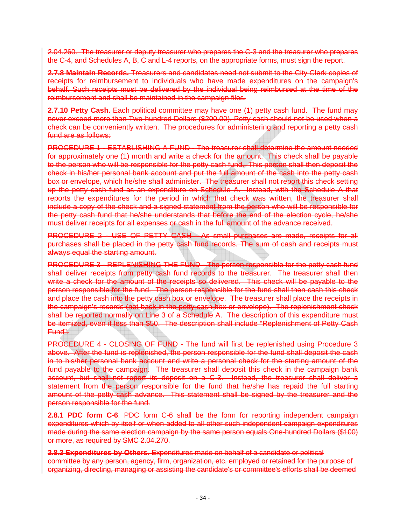2.04.260. The treasurer or deputy treasurer who prepares the C-3 and the treasurer who prepares the C-4, and Schedules A, B, C and L-4 reports, on the appropriate forms, must sign the report.

**2.7.8 Maintain Records.** Treasurers and candidates need not submit to the City Clerk copies of receipts for reimbursement to individuals who have made expenditures on the campaign's behalf. Such receipts must be delivered by the individual being reimbursed at the time of the reimbursement and shall be maintained in the campaign files.

**2.7.10 Petty Cash.** Each political committee may have one (1) petty cash fund. The fund may never exceed more than Two-hundred Dollars (\$200.00). Petty cash should not be used when a check can be conveniently written. The procedures for administering and reporting a petty cash fund are as follows:

PROCEDURE 1 - ESTABLISHING A FUND - The treasurer shall determine the amount needed for approximately one (1) month and write a check for the amount. This check shall be payable to the person who will be responsible for the petty cash fund. This person shall then deposit the check in his/her personal bank account and put the full amount of the cash into the petty cash box or envelope, which he/she shall administer. The treasurer shall not report this check setting up the petty cash fund as an expenditure on Schedule A. Instead, with the Schedule A that reports the expenditures for the period in which that check was written, the treasurer shall include a copy of the check and a signed statement from the person who will be responsible for the petty cash fund that he/she understands that before the end of the election cycle, he/she must deliver receipts for all expenses or cash in the full amount of the advance received.

PROCEDURE 2 - USE OF PETTY CASH - As small purchases are made, receipts for all purchases shall be placed in the petty cash fund records. The sum of cash and receipts must always equal the starting amount.

PROCEDURE 3 - REPLENISHING THE FUND - The person responsible for the petty cash fund shall deliver receipts from petty cash fund records to the treasurer. The treasurer shall then write a check for the amount of the receipts so delivered. This check will be payable to the person responsible for the fund. The person responsible for the fund shall then cash this check and place the cash into the petty cash box or envelope. The treasurer shall place the receipts in the campaign's records (not back in the petty cash box or envelope). The replenishment check shall be reported normally on Line 3 of a Schedule A. The description of this expenditure must be itemized, even if less than \$50. The description shall include "Replenishment of Petty Cash Fund".

PROCEDURE 4 - CLOSING OF FUND - The fund will first be replenished using Procedure 3 above. After the fund is replenished, the person responsible for the fund shall deposit the cash in to his/her personal bank account and write a personal check for the starting amount of the fund payable to the campaign. The treasurer shall deposit this check in the campaign bank account, but shall not report its deposit on a C-3. Instead, the treasurer shall deliver a statement from the person responsible for the fund that he/she has repaid the full starting amount of the petty cash advance. This statement shall be signed by the treasurer and the person responsible for the fund.

**2.8.1 PDC form C-6**. PDC form C-6 shall be the form for reporting independent campaign expenditures which by itself or when added to all other such independent campaign expenditures made during the same election campaign by the same person equals One-hundred Dollars (\$100) or more, as required by SMC 2.04.270.

**2.8.2 Expenditures by Others.** Expenditures made on behalf of a candidate or political committee by any person, agency, firm, organization, etc. employed or retained for the purpose of organizing, directing, managing or assisting the candidate's or committee's efforts shall be deemed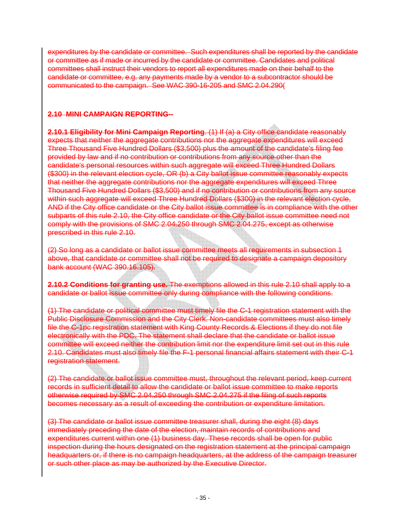expenditures by the candidate or committee. Such expenditures shall be reported by the candidate or committee as if made or incurred by the candidate or committee. Candidates and political committees shall instruct their vendors to report all expenditures made on their behalf to the candidate or committee, e.g. any payments made by a vendor to a subcontractor should be communicated to the campaign. See WAC 390-16-205 and SMC 2.04.290(

### **2.10 MINI CAMPAIGN REPORTING--**

**2.10.1 Eligibility for Mini Campaign Reporting**. (1) If (a) a City office candidate reasonably expects that neither the aggregate contributions nor the aggregate expenditures will exceed Three Thousand Five Hundred Dollars (\$3,500) plus the amount of the candidate's filing fee provided by law and if no contribution or contributions from any source other than the candidate's personal resources within such aggregate will exceed Three Hundred Dollars (\$300) in the relevant election cycle, OR (b) a City ballot issue committee reasonably expects that neither the aggregate contributions nor the aggregate expenditures will exceed Three Thousand Five Hundred Dollars (\$3,500) and if no contribution or contributions from any source within such aggregate will exceed Three Hundred Dollars (\$300) in the relevant election cycle, AND if the City office candidate or the City ballot issue committee is in compliance with the other subparts of this rule 2.10, the City office candidate or the City ballot issue committee need not comply with the provisions of SMC 2.04.250 through SMC 2.04.275, except as otherwise prescribed in this rule 2.10.

(2) So long as a candidate or ballot issue committee meets all requirements in subsection 1 above, that candidate or committee shall not be required to designate a campaign depository bank account (WAC 390.16.105).

**2.10.2 Conditions for granting use.** The exemptions allowed in this rule 2.10 shall apply to a candidate or ballot issue committee only during compliance with the following conditions.

(1) The candidate or political committee must timely file the C-1 registration statement with the Public Disclosure Commission and the City Clerk. Non-candidate committees must also timely file the C-1pc registration statement with King County Records & Elections if they do not file electronically with the PDC. The statement shall declare that the candidate or ballot issue committee will exceed neither the contribution limit nor the expenditure limit set out in this rule 2.10. Candidates must also timely file the F-1 personal financial affairs statement with their C-1 registration statement.

(2) The candidate or ballot issue committee must, throughout the relevant period, keep current records in sufficient detail to allow the candidate or ballot issue committee to make reports otherwise required by SMC 2.04.250 through SMC 2.04.275 if the filing of such reports becomes necessary as a result of exceeding the contribution or expenditure limitation.

(3) The candidate or ballot issue committee treasurer shall, during the eight (8) days immediately preceding the date of the election, maintain records of contributions and expenditures current within one (1) business day. These records shall be open for public inspection during the hours designated on the registration statement at the principal campaign headquarters or, if there is no campaign headquarters, at the address of the campaign treasurer or such other place as may be authorized by the Executive Director.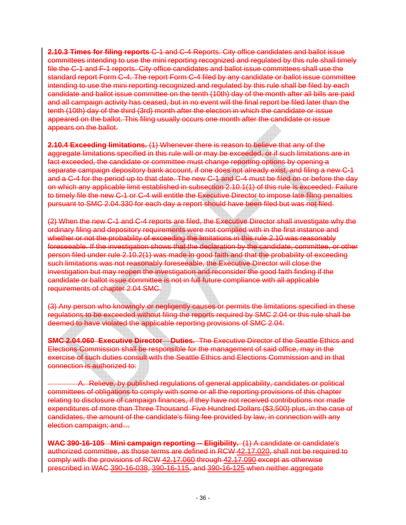**2.10.3 Times for filing reports** C-1 and C-4 Reports. City office candidates and ballot issue committees intending to use the mini reporting recognized and regulated by this rule shall timely file the C-1 and F-1 reports. City office candidates and ballot issue committees shall use the standard report Form C-4. The report Form C-4 filed by any candidate or ballot issue committee intending to use the mini reporting recognized and regulated by this rule shall be filed by each candidate and ballot issue committee on the tenth (10th) day of the month after all bills are paid and all campaign activity has ceased, but in no event will the final report be filed later than the tenth (10th) day of the third (3rd) month after the election in which the candidate or issue appeared on the ballot. This filing usually occurs one month after the candidate or issue appears on the ballot.

**2.10.4 Exceeding limitations.** (1) Whenever there is reason to believe that any of the aggregate limitations specified in this rule will or may be exceeded, or if such limitations are in fact exceeded, the candidate or committee must change reporting options by opening a separate campaign depository bank account, if one does not already exist, and filing a new C-1 and a C-4 for the period up to that date. The new C-1 and C-4 must be filed on or before the day on which any applicable limit established in subsection 2.10.1(1) of this rule is exceeded. Failure to timely file the new C-1 or C-4 will entitle the Executive Director to impose late filing penalties pursuant to SMC 2.04.330 for each day a report should have been filed but was not filed.

(2) When the new C-1 and C-4 reports are filed, the Executive Director shall investigate why the ordinary filing and depository requirements were not complied with in the first instance and whether or not the probability of exceeding the limitations in this rule 2.10 was reasonably foreseeable. If the investigation shows that the declaration by the candidate, committee, or other person filed under rule 2.10.2(1) was made in good faith and that the probability of exceeding such limitations was not reasonably foreseeable, the Executive Director will close the investigation but may reopen the investigation and reconsider the good faith finding if the candidate or ballot issue committee is not in full future compliance with all applicable requirements of chapter 2.04 SMC.

(3) Any person who knowingly or negligently causes or permits the limitations specified in these regulations to be exceeded without filing the reports required by SMC 2.04 or this rule shall be deemed to have violated the applicable reporting provisions of SMC 2.04.

**SMC 2.04.060 Executive Director Duties.** The Executive Director of the Seattle Ethics and Elections Commission shall be responsible for the management of said office, may in the exercise of such duties consult with the Seattle Ethics and Elections Commission and in that connection is authorized to:

A. Relieve, by published regulations of general applicability, candidates or political committees of obligations to comply with some or all the reporting provisions of this chapter relating to disclosure of campaign finances, if they have not received contributions nor made expenditures of more than Three Thousand Five Hundred Dollars (\$3,500) plus, in the case of candidates, the amount of the candidate's filing fee provided by law, in connection with any election campaign; and…

**WAC 390-16-105 Mini campaign reporting -- Eligibility.** (1) A candidate or candidate's authorized committee, as those terms are defined in RCW [42.17.020](http://search.leg.wa.gov/wslrcw/RCW  42  TITLE/RCW  42 . 17  CHAPTER/RCW  42 . 17 .020.htm), shall not be required to comply with the provisions of RCW [42.17.060](http://search.leg.wa.gov/wslrcw/RCW  42  TITLE/RCW  42 . 17  CHAPTER/RCW  42 . 17 .060.htm) through [42.17.090](http://search.leg.wa.gov/wslrcw/RCW  42  TITLE/RCW  42 . 17  CHAPTER/RCW  42 . 17 .090.htm) except as otherwise prescribed in WAC [390-16-038](http://search.leg.wa.gov/wslwac/WAC 390  TITLE/WAC 390 - 16  CHAPTER/WAC 390 - 16 -038.htm), [390-16-115](http://search.leg.wa.gov/wslwac/WAC 390  TITLE/WAC 390 - 16  CHAPTER/WAC 390 - 16 -115.htm), and [390-16-125](http://search.leg.wa.gov/wslwac/WAC 390  TITLE/WAC 390 - 16  CHAPTER/WAC 390 - 16 -125.htm) when neither aggregate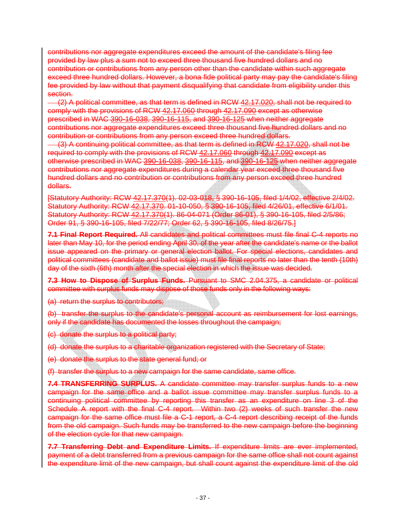contributions nor aggregate expenditures exceed the amount of the candidate's filing fee provided by law plus a sum not to exceed three thousand five hundred dollars and no contribution or contributions from any person other than the candidate within such aggregate exceed three hundred dollars. However, a bona fide political party may pay the candidate's filing fee provided by law without that payment disqualifying that candidate from eligibility under this section.

 (2) A political committee, as that term is defined in RCW [42.17.020,](http://search.leg.wa.gov/wslrcw/RCW  42  TITLE/RCW  42 . 17  CHAPTER/RCW  42 . 17 .020.htm) shall not be required to comply with the provisions of RCW [42.17.060](http://search.leg.wa.gov/wslrcw/RCW  42  TITLE/RCW  42 . 17  CHAPTER/RCW  42 . 17 .060.htm) through [42.17.090](http://search.leg.wa.gov/wslrcw/RCW  42  TITLE/RCW  42 . 17  CHAPTER/RCW  42 . 17 .090.htm) except as otherwise prescribed in WAC [390-16-038](http://search.leg.wa.gov/wslwac/WAC 390  TITLE/WAC 390 - 16  CHAPTER/WAC 390 - 16 -038.htm), [390-16-115](http://search.leg.wa.gov/wslwac/WAC 390  TITLE/WAC 390 - 16  CHAPTER/WAC 390 - 16 -115.htm), and [390-16-125](http://search.leg.wa.gov/wslwac/WAC 390  TITLE/WAC 390 - 16  CHAPTER/WAC 390 - 16 -125.htm) when neither aggregate contributions nor aggregate expenditures exceed three thousand five hundred dollars and no contribution or contributions from any person exceed three hundred dollars.

 (3) A continuing political committee, as that term is defined in RCW [42.17.020](http://search.leg.wa.gov/wslrcw/RCW  42  TITLE/RCW  42 . 17  CHAPTER/RCW  42 . 17 .020.htm), shall not be required to comply with the provisions of RCW [42.17.060](http://search.leg.wa.gov/wslrcw/RCW  42  TITLE/RCW  42 . 17  CHAPTER/RCW  42 . 17 .060.htm) through [42.17.090](http://search.leg.wa.gov/wslrcw/RCW  42  TITLE/RCW  42 . 17  CHAPTER/RCW  42 . 17 .090.htm) except as otherwise prescribed in WAC [390-16-038](http://search.leg.wa.gov/wslwac/WAC 390  TITLE/WAC 390 - 16  CHAPTER/WAC 390 - 16 -038.htm), [390-16-115,](http://search.leg.wa.gov/wslwac/WAC 390  TITLE/WAC 390 - 16  CHAPTER/WAC 390 - 16 -115.htm) and [390-16-125](http://search.leg.wa.gov/wslwac/WAC 390  TITLE/WAC 390 - 16  CHAPTER/WAC 390 - 16 -125.htm) when neither aggregate contributions nor aggregate expenditures during a calendar year exceed three thousand five hundred dollars and no contribution or contributions from any person exceed three hundred dollars.

[Statutory Authority: RCW [42.17.370\(](http://search.leg.wa.gov/wslrcw/RCW  42  TITLE/RCW  42 . 17  CHAPTER/RCW  42 . 17 .370.htm)1). 02-03-018, § 390-16-105, filed 1/4/02, effective 2/4/02. Statutory Authority: RCW [42.17.370.](http://search.leg.wa.gov/wslrcw/RCW  42  TITLE/RCW  42 . 17  CHAPTER/RCW  42 . 17 .370.htm) 01-10-050, § 390-16-105, filed 4/26/01, effective 6/1/01. Statutory Authority: RCW [42.17.370\(](http://search.leg.wa.gov/wslrcw/RCW  42  TITLE/RCW  42 . 17  CHAPTER/RCW  42 . 17 .370.htm)1). 86-04-071 (Order 86-01), § 390-16-105, filed 2/5/86; Order 91, § 390-16-105, filed 7/22/77; Order 62, § 390-16-105, filed 8/26/75.]

**7.1 Final Report Required.** All candidates and political committees must file final C-4 reports no later than May 10, for the period ending April 30, of the year after the candidate's name or the ballot issue appeared on the primary or general election ballot. For special elections, candidates and political committees (candidate and ballot issue) must file final reports no later than the tenth (10th) day of the sixth (6th) month after the special election in which the issue was decided.

**7.3 How to Dispose of Surplus Funds.** Pursuant to SMC 2.04.375, a candidate or political committee with surplus funds may dispose of those funds only in the following ways:

(a) return the surplus to contributors;

(b) transfer the surplus to the candidate's personal account as reimbursement for lost earnings, only if the candidate has documented the losses throughout the campaign;

(c) donate the surplus to a political party;

(d) donate the surplus to a charitable organization registered with the Secretary of State;

(e) donate the surplus to the state general fund; or

(f) transfer the surplus to a new campaign for the same candidate, same office.

**7.4 TRANSFERRING SURPLUS.** A candidate committee may transfer surplus funds to a new campaign for the same office and a ballot issue committee may transfer surplus funds to a continuing political committee by reporting this transfer as an expenditure on line 3 of the Schedule A report with the final C-4 report. Within two (2) weeks of such transfer the new campaign for the same office must file a C-1 report, a C-4 report describing receipt of the funds from the old campaign. Such funds may be transferred to the new campaign before the beginning of the election cycle for that new campaign.

**7.7 Transferring Debt and Expenditure Limits.** If expenditure limits are ever implemented, payment of a debt transferred from a previous campaign for the same office shall not count against the expenditure limit of the new campaign, but shall count against the expenditure limit of the old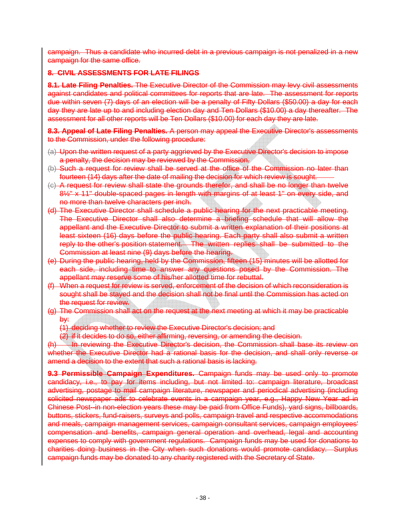campaign. Thus a candidate who incurred debt in a previous campaign is not penalized in a new campaign for the same office.

### **8. CIVIL ASSESSMENTS FOR LATE FILINGS**

**8.1. Late Filing Penalties.** The Executive Director of the Commission may levy civil assessments against candidates and political committees for reports that are late. The assessment for reports due within seven (7) days of an election will be a penalty of Fifty Dollars (\$50.00) a day for each day they are late up to and including election day and Ten Dollars (\$10.00) a day thereafter. The assessment for all other reports will be Ten Dollars (\$10.00) for each day they are late.

**8.3. Appeal of Late Filing Penalties.** A person may appeal the Executive Director's assessments to the Commission, under the following procedure:

- (a) Upon the written request of a party aggrieved by the Executive Director's decision to impose a penalty, the decision may be reviewed by the Commission.
- (b) Such a request for review shall be served at the office of the Commission no later than fourteen (14) days after the date of mailing the decision for which review is sought.
- (c) A request for review shall state the grounds therefor, and shall be no longer than twelve 8½" x 11" double-spaced pages in length with margins of at least 1" on every side, and no more than twelve characters per inch.
- (d) The Executive Director shall schedule a public hearing for the next practicable meeting. The Executive Director shall also determine a briefing schedule that will allow the appellant and the Executive Director to submit a written explanation of their positions at least sixteen (16) days before the public hearing. Each party shall also submit a written reply to the other's position statement. The written replies shall be submitted to the Commission at least nine (9) days before the hearing.
- (e) During the public hearing, held by the Commission, fifteen (15) minutes will be allotted for each side, including time to answer any questions posed by the Commission. The appellant may reserve some of his/her allotted time for rebuttal.
- (f) When a request for review is served, enforcement of the decision of which reconsideration is sought shall be stayed and the decision shall not be final until the Commission has acted on the request for review.
- (g) The Commission shall act on the request at the next meeting at which it may be practicable by:
	- (1) deciding whether to review the Executive Director's decision; and
	- (2) if it decides to do so, either affirming, reversing, or amending the decision.

(h) In reviewing the Executive Director's decision, the Commission shall base its review on whether the Executive Director had a rational basis for the decision, and shall only reverse or amend a decision to the extent that such a rational basis is lacking.

**9.3 Permissible Campaign Expenditures.** Campaign funds may be used only to promote candidacy, i.e., to pay for items including, but not limited to: campaign literature, broadcast advertising, postage to mail campaign literature, newspaper and periodical advertising (including solicited newspaper ads to celebrate events in a campaign year, e.g., Happy New Year ad in Chinese Post--in non-election years these may be paid from Office Funds), yard signs, billboards, buttons, stickers, fund-raisers, surveys and polls, campaign travel and respective accommodations and meals, campaign management services, campaign consultant services, campaign employees' compensation and benefits, campaign general operation and overhead, legal and accounting expenses to comply with government regulations. Campaign funds may be used for donations to charities doing business in the City when such donations would promote candidacy. Surplus campaign funds may be donated to any charity registered with the Secretary of State.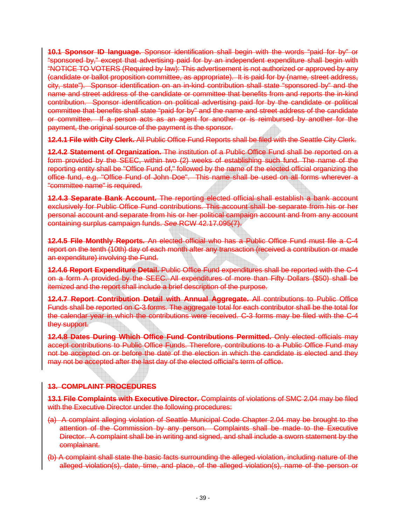**10.1 Sponsor ID language.** Sponsor identification shall begin with the words "paid for by" or "sponsored by," except that advertising paid for by an independent expenditure shall begin with "NOTICE TO VOTERS (Required by law): This advertisement is not authorized or approved by any (candidate or ballot proposition committee, as appropriate). It is paid for by (name, street address, city, state"). Sponsor identification on an in-kind contribution shall state "sponsored by" and the name and street address of the candidate or committee that benefits from and reports the in-kind contribution. Sponsor identification on political advertising paid for by the candidate or political committee that benefits shall state "paid for by" and the name and street address of the candidate or committee. If a person acts as an agent for another or is reimbursed by another for the payment, the original source of the payment is the sponsor.

**12.4.1 File with City Clerk.** All Public Office Fund Reports shall be filed with the Seattle City Clerk.

**12.4.2 Statement of Organization.** The institution of a Public Office Fund shall be reported on a form provided by the SEEC, within two (2) weeks of establishing such fund. The name of the reporting entity shall be "Office Fund of," followed by the name of the elected official organizing the office fund, e.g. "Office Fund of John Doe". This name shall be used on all forms wherever a "committee name" is required.

**12.4.3 Separate Bank Account.** The reporting elected official shall establish a bank account exclusively for Public Office Fund contributions. This account shall be separate from his or her personal account and separate from his or her political campaign account and from any account containing surplus campaign funds. *See* RCW 42.17.095(7).

**12.4.5 File Monthly Reports.** An elected official who has a Public Office Fund must file a C-4 report on the tenth (10th) day of each month after any transaction (received a contribution or made an expenditure) involving the Fund.

**12.4.6 Report Expenditure Detail.** Public Office Fund expenditures shall be reported with the C-4 on a form A provided by the SEEC. All expenditures of more than Fifty Dollars (\$50) shall be itemized and the report shall include a brief description of the purpose.

**12.4.7 Report Contribution Detail with Annual Aggregate.** All contributions to Public Office Funds shall be reported on C-3 forms. The aggregate total for each contributor shall be the total for the calendar year in which the contributions were received. C-3 forms may be filed with the C-4 they support.

**12.4.8 Dates During Which Office Fund Contributions Permitted.** Only elected officials may accept contributions to Public Office Funds. Therefore, contributions to a Public Office Fund may not be accepted on or before the date of the election in which the candidate is elected and they may not be accepted after the last day of the elected official's term of office.

### **13. COMPLAINT PROCEDURES**

**13.1 File Complaints with Executive Director.** Complaints of violations of SMC 2.04 may be filed with the Executive Director under the following procedures:

- (a) A complaint alleging violation of Seattle Municipal Code Chapter 2.04 may be brought to the attention of the Commission by any person. Complaints shall be made to the Executive Director. A complaint shall be in writing and signed, and shall include a sworn statement by the complainant.
- (b) A complaint shall state the basic facts surrounding the alleged violation, including nature of the alleged violation(s), date, time, and place, of the alleged violation(s), name of the person or